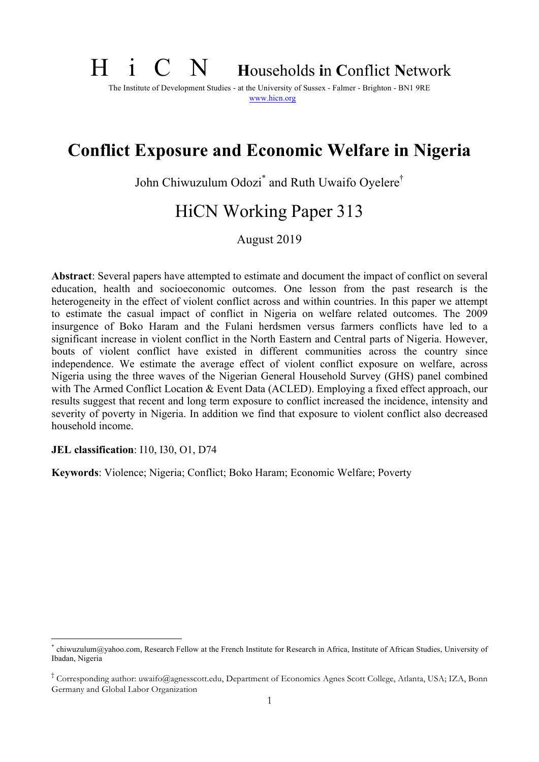# H i C N **<sup>H</sup>**ouseholds **i**n **C**onflict **<sup>N</sup>**etwork

The Institute of Development Studies - at the University of Sussex - Falmer - Brighton - BN1 9RE www.hicn.org

# **Conflict Exposure and Economic Welfare in Nigeria**

John Chiwuzulum Odozi\* and Ruth Uwaifo Oyelere†

# HiCN Working Paper 313

August 2019

**Abstract**: Several papers have attempted to estimate and document the impact of conflict on several education, health and socioeconomic outcomes. One lesson from the past research is the heterogeneity in the effect of violent conflict across and within countries. In this paper we attempt to estimate the casual impact of conflict in Nigeria on welfare related outcomes. The 2009 insurgence of Boko Haram and the Fulani herdsmen versus farmers conflicts have led to a significant increase in violent conflict in the North Eastern and Central parts of Nigeria. However, bouts of violent conflict have existed in different communities across the country since independence. We estimate the average effect of violent conflict exposure on welfare, across Nigeria using the three waves of the Nigerian General Household Survey (GHS) panel combined with The Armed Conflict Location & Event Data (ACLED). Employing a fixed effect approach, our results suggest that recent and long term exposure to conflict increased the incidence, intensity and severity of poverty in Nigeria. In addition we find that exposure to violent conflict also decreased household income.

#### **JEL classification**: I10, I30, O1, D74

**Keywords**: Violence; Nigeria; Conflict; Boko Haram; Economic Welfare; Poverty

chiwuzulum@yahoo.com, Research Fellow at the French Institute for Research in Africa, Institute of African Studies, University of Ibadan, Nigeria

<sup>†</sup> Corresponding author: uwaifo@agnesscott.edu, Department of Economics Agnes Scott College, Atlanta, USA; IZA, Bonn Germany and Global Labor Organization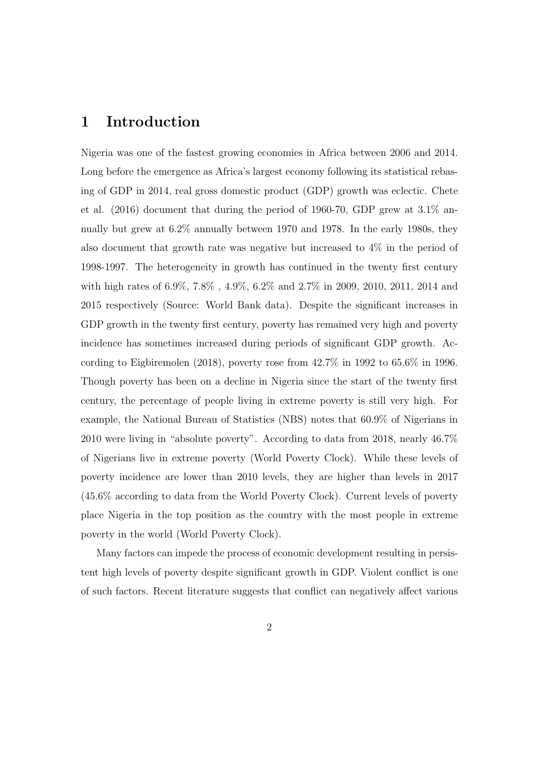### 1 Introduction

Nigeria was one of the fastest growing economies in Africa between 2006 and 2014. Long before the emergence as Africa's largest economy following its statistical rebasing of GDP in 2014, real gross domestic product (GDP) growth was eclectic. Chete et al. (2016) document that during the period of 1960-70, GDP grew at 3.1% annually but grew at 6.2% annually between 1970 and 1978. In the early 1980s, they also document that growth rate was negative but increased to 4% in the period of 1998-1997. The heterogeneity in growth has continued in the twenty first century with high rates of 6.9%, 7.8% , 4.9%, 6.2% and 2.7% in 2009, 2010, 2011, 2014 and 2015 respectively (Source: World Bank data). Despite the significant increases in GDP growth in the twenty first century, poverty has remained very high and poverty incidence has sometimes increased during periods of significant GDP growth. According to Eigbiremolen (2018), poverty rose from  $42.7\%$  in 1992 to  $65.6\%$  in 1996. Though poverty has been on a decline in Nigeria since the start of the twenty first century, the percentage of people living in extreme poverty is still very high. For example, the National Bureau of Statistics (NBS) notes that 60.9% of Nigerians in 2010 were living in "absolute poverty". According to data from 2018, nearly 46.7% of Nigerians live in extreme poverty (World Poverty Clock). While these levels of poverty incidence are lower than 2010 levels, they are higher than levels in 2017 (45.6% according to data from the World Poverty Clock). Current levels of poverty place Nigeria in the top position as the country with the most people in extreme poverty in the world (World Poverty Clock).

Many factors can impede the process of economic development resulting in persistent high levels of poverty despite significant growth in GDP. Violent conflict is one of such factors. Recent literature suggests that conflict can negatively a↵ect various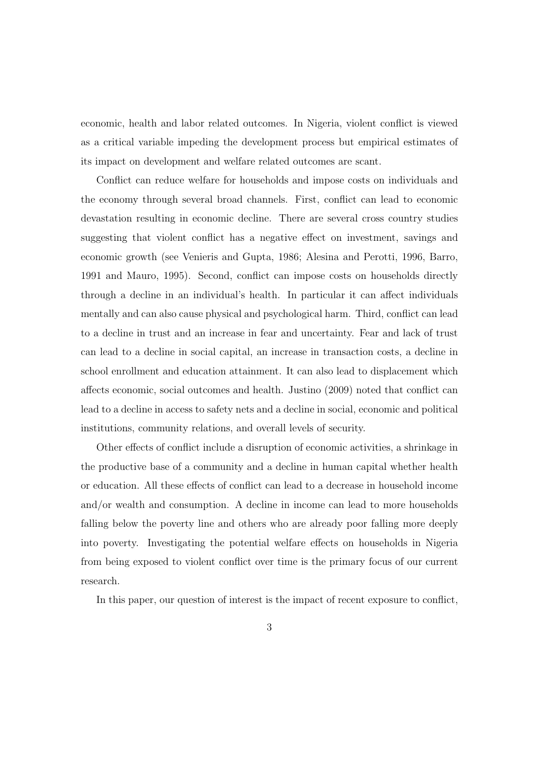economic, health and labor related outcomes. In Nigeria, violent conflict is viewed as a critical variable impeding the development process but empirical estimates of its impact on development and welfare related outcomes are scant.

Conflict can reduce welfare for households and impose costs on individuals and the economy through several broad channels. First, conflict can lead to economic devastation resulting in economic decline. There are several cross country studies suggesting that violent conflict has a negative effect on investment, savings and economic growth (see Venieris and Gupta, 1986; Alesina and Perotti, 1996, Barro, 1991 and Mauro, 1995). Second, conflict can impose costs on households directly through a decline in an individual's health. In particular it can affect individuals mentally and can also cause physical and psychological harm. Third, conflict can lead to a decline in trust and an increase in fear and uncertainty. Fear and lack of trust can lead to a decline in social capital, an increase in transaction costs, a decline in school enrollment and education attainment. It can also lead to displacement which affects economic, social outcomes and health. Justino (2009) noted that conflict can lead to a decline in access to safety nets and a decline in social, economic and political institutions, community relations, and overall levels of security.

Other effects of conflict include a disruption of economic activities, a shrinkage in the productive base of a community and a decline in human capital whether health or education. All these effects of conflict can lead to a decrease in household income and/or wealth and consumption. A decline in income can lead to more households falling below the poverty line and others who are already poor falling more deeply into poverty. Investigating the potential welfare effects on households in Nigeria from being exposed to violent conflict over time is the primary focus of our current research.

In this paper, our question of interest is the impact of recent exposure to conflict,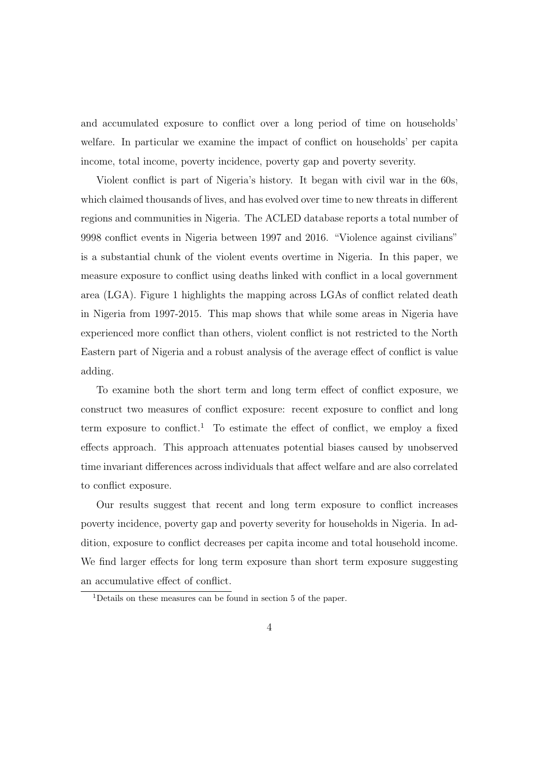and accumulated exposure to conflict over a long period of time on households' welfare. In particular we examine the impact of conflict on households' per capita income, total income, poverty incidence, poverty gap and poverty severity.

Violent conflict is part of Nigeria's history. It began with civil war in the 60s, which claimed thousands of lives, and has evolved over time to new threats in different regions and communities in Nigeria. The ACLED database reports a total number of 9998 conflict events in Nigeria between 1997 and 2016. "Violence against civilians" is a substantial chunk of the violent events overtime in Nigeria. In this paper, we measure exposure to conflict using deaths linked with conflict in a local government area (LGA). Figure 1 highlights the mapping across LGAs of conflict related death in Nigeria from 1997-2015. This map shows that while some areas in Nigeria have experienced more conflict than others, violent conflict is not restricted to the North Eastern part of Nigeria and a robust analysis of the average effect of conflict is value adding.

To examine both the short term and long term effect of conflict exposure, we construct two measures of conflict exposure: recent exposure to conflict and long term exposure to conflict.<sup>1</sup> To estimate the effect of conflict, we employ a fixed effects approach. This approach attenuates potential biases caused by unobserved time invariant differences across individuals that affect welfare and are also correlated to conflict exposure.

Our results suggest that recent and long term exposure to conflict increases poverty incidence, poverty gap and poverty severity for households in Nigeria. In addition, exposure to conflict decreases per capita income and total household income. We find larger effects for long term exposure than short term exposure suggesting an accumulative effect of conflict.

<sup>1</sup>Details on these measures can be found in section 5 of the paper.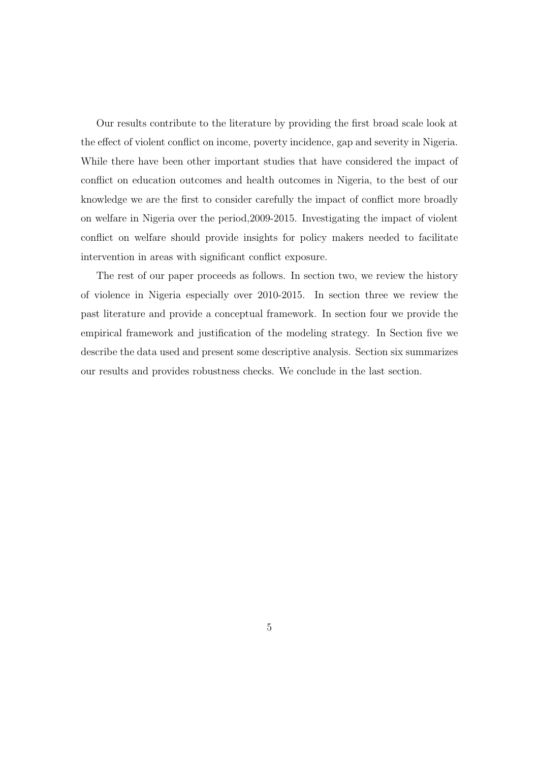Our results contribute to the literature by providing the first broad scale look at the effect of violent conflict on income, poverty incidence, gap and severity in Nigeria. While there have been other important studies that have considered the impact of conflict on education outcomes and health outcomes in Nigeria, to the best of our knowledge we are the first to consider carefully the impact of conflict more broadly on welfare in Nigeria over the period,2009-2015. Investigating the impact of violent conflict on welfare should provide insights for policy makers needed to facilitate intervention in areas with significant conflict exposure.

The rest of our paper proceeds as follows. In section two, we review the history of violence in Nigeria especially over 2010-2015. In section three we review the past literature and provide a conceptual framework. In section four we provide the empirical framework and justification of the modeling strategy. In Section five we describe the data used and present some descriptive analysis. Section six summarizes our results and provides robustness checks. We conclude in the last section.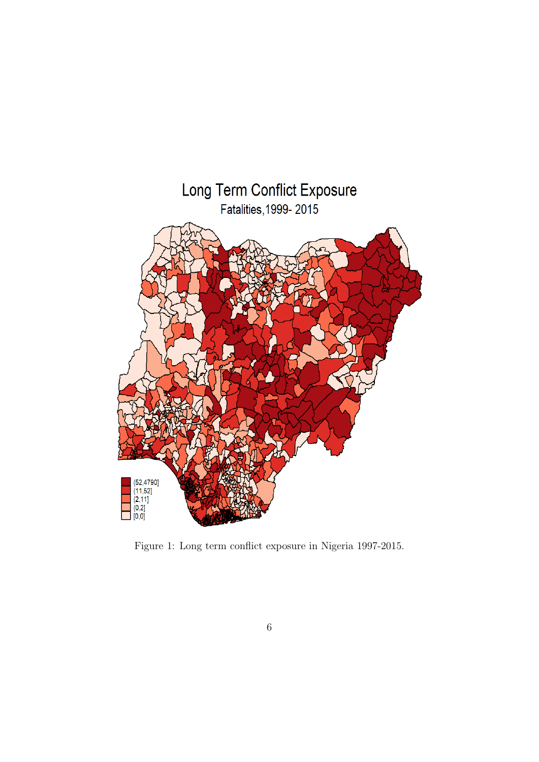

Figure 1: Long term conflict exposure in Nigeria 1997-2015.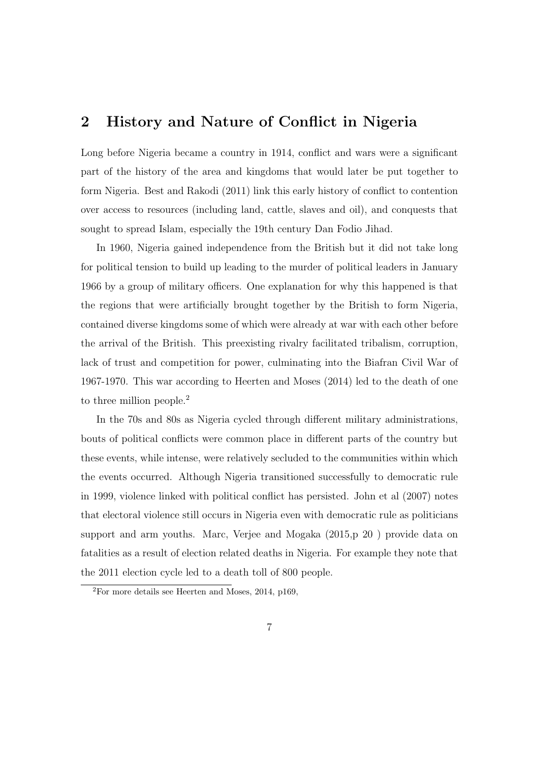# 2 History and Nature of Conflict in Nigeria

Long before Nigeria became a country in 1914, conflict and wars were a significant part of the history of the area and kingdoms that would later be put together to form Nigeria. Best and Rakodi (2011) link this early history of conflict to contention over access to resources (including land, cattle, slaves and oil), and conquests that sought to spread Islam, especially the 19th century Dan Fodio Jihad.

In 1960, Nigeria gained independence from the British but it did not take long for political tension to build up leading to the murder of political leaders in January 1966 by a group of military officers. One explanation for why this happened is that the regions that were artificially brought together by the British to form Nigeria, contained diverse kingdoms some of which were already at war with each other before the arrival of the British. This preexisting rivalry facilitated tribalism, corruption, lack of trust and competition for power, culminating into the Biafran Civil War of 1967-1970. This war according to Heerten and Moses (2014) led to the death of one to three million people.<sup>2</sup>

In the 70s and 80s as Nigeria cycled through different military administrations, bouts of political conflicts were common place in different parts of the country but these events, while intense, were relatively secluded to the communities within which the events occurred. Although Nigeria transitioned successfully to democratic rule in 1999, violence linked with political conflict has persisted. John et al (2007) notes that electoral violence still occurs in Nigeria even with democratic rule as politicians support and arm youths. Marc, Verjee and Mogaka (2015,p 20 ) provide data on fatalities as a result of election related deaths in Nigeria. For example they note that the 2011 election cycle led to a death toll of 800 people.

 $2^2$ For more details see Heerten and Moses, 2014, p169,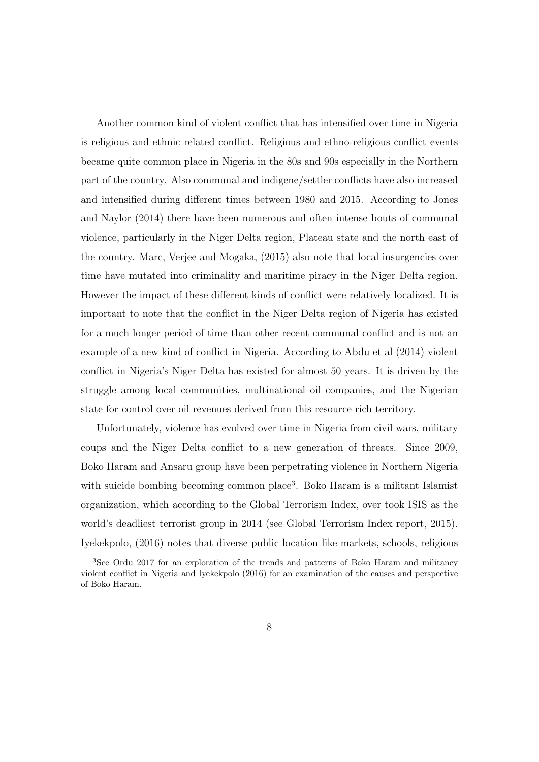Another common kind of violent conflict that has intensified over time in Nigeria is religious and ethnic related conflict. Religious and ethno-religious conflict events became quite common place in Nigeria in the 80s and 90s especially in the Northern part of the country. Also communal and indigene/settler conflicts have also increased and intensified during different times between 1980 and 2015. According to Jones and Naylor (2014) there have been numerous and often intense bouts of communal violence, particularly in the Niger Delta region, Plateau state and the north east of the country. Marc, Verjee and Mogaka, (2015) also note that local insurgencies over time have mutated into criminality and maritime piracy in the Niger Delta region. However the impact of these different kinds of conflict were relatively localized. It is important to note that the conflict in the Niger Delta region of Nigeria has existed for a much longer period of time than other recent communal conflict and is not an example of a new kind of conflict in Nigeria. According to Abdu et al (2014) violent conflict in Nigeria's Niger Delta has existed for almost 50 years. It is driven by the struggle among local communities, multinational oil companies, and the Nigerian state for control over oil revenues derived from this resource rich territory.

Unfortunately, violence has evolved over time in Nigeria from civil wars, military coups and the Niger Delta conflict to a new generation of threats. Since 2009, Boko Haram and Ansaru group have been perpetrating violence in Northern Nigeria with suicide bombing becoming common place<sup>3</sup>. Boko Haram is a militant Islamist organization, which according to the Global Terrorism Index, over took ISIS as the world's deadliest terrorist group in 2014 (see Global Terrorism Index report, 2015). Iyekekpolo, (2016) notes that diverse public location like markets, schools, religious

<sup>3</sup>See Ordu 2017 for an exploration of the trends and patterns of Boko Haram and militancy violent conflict in Nigeria and Iyekekpolo (2016) for an examination of the causes and perspective of Boko Haram.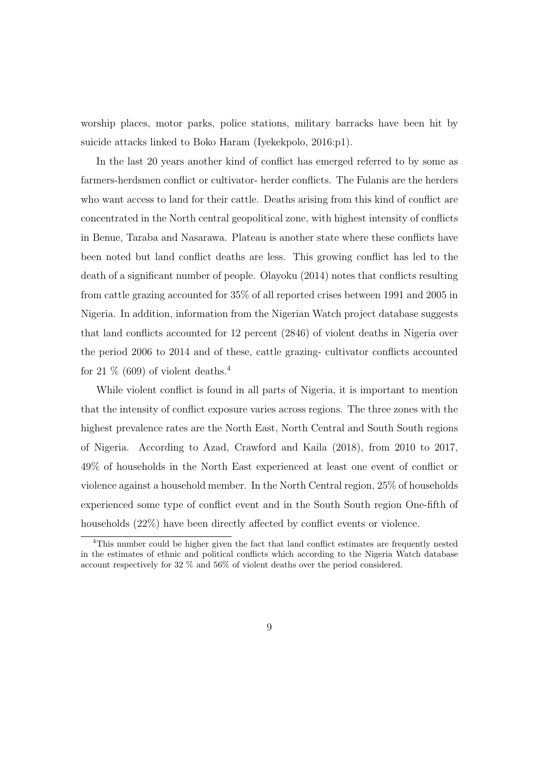worship places, motor parks, police stations, military barracks have been hit by suicide attacks linked to Boko Haram (Iyekekpolo, 2016:p1).

In the last 20 years another kind of conflict has emerged referred to by some as farmers-herdsmen conflict or cultivator- herder conflicts. The Fulanis are the herders who want access to land for their cattle. Deaths arising from this kind of conflict are concentrated in the North central geopolitical zone, with highest intensity of conflicts in Benue, Taraba and Nasarawa. Plateau is another state where these conflicts have been noted but land conflict deaths are less. This growing conflict has led to the death of a significant number of people. Olayoku (2014) notes that conflicts resulting from cattle grazing accounted for 35% of all reported crises between 1991 and 2005 in Nigeria. In addition, information from the Nigerian Watch project database suggests that land conflicts accounted for 12 percent (2846) of violent deaths in Nigeria over the period 2006 to 2014 and of these, cattle grazing- cultivator conflicts accounted for 21  $\%$  (609) of violent deaths.<sup>4</sup>

While violent conflict is found in all parts of Nigeria, it is important to mention that the intensity of conflict exposure varies across regions. The three zones with the highest prevalence rates are the North East, North Central and South South regions of Nigeria. According to Azad, Crawford and Kaila (2018), from 2010 to 2017, 49% of households in the North East experienced at least one event of conflict or violence against a household member. In the North Central region, 25% of households experienced some type of conflict event and in the South South region One-fifth of households  $(22%)$  have been directly affected by conflict events or violence.

<sup>4</sup>This number could be higher given the fact that land conflict estimates are frequently nested in the estimates of ethnic and political conflicts which according to the Nigeria Watch database account respectively for 32 % and 56% of violent deaths over the period considered.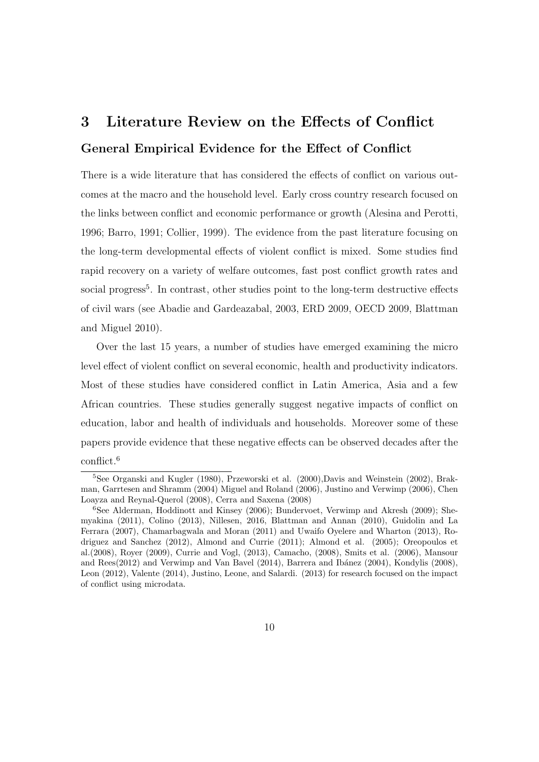# 3 Literature Review on the Effects of Conflict General Empirical Evidence for the Effect of Conflict

There is a wide literature that has considered the effects of conflict on various outcomes at the macro and the household level. Early cross country research focused on the links between conflict and economic performance or growth (Alesina and Perotti, 1996; Barro, 1991; Collier, 1999). The evidence from the past literature focusing on the long-term developmental effects of violent conflict is mixed. Some studies find rapid recovery on a variety of welfare outcomes, fast post conflict growth rates and social progress<sup>5</sup>. In contrast, other studies point to the long-term destructive effects of civil wars (see Abadie and Gardeazabal, 2003, ERD 2009, OECD 2009, Blattman and Miguel 2010).

Over the last 15 years, a number of studies have emerged examining the micro level effect of violent conflict on several economic, health and productivity indicators. Most of these studies have considered conflict in Latin America, Asia and a few African countries. These studies generally suggest negative impacts of conflict on education, labor and health of individuals and households. Moreover some of these papers provide evidence that these negative effects can be observed decades after the conflict.<sup>6</sup>

<sup>5</sup>See Organski and Kugler (1980), Przeworski et al. (2000),Davis and Weinstein (2002), Brakman, Garrtesen and Shramm (2004) Miguel and Roland (2006), Justino and Verwimp (2006), Chen Loayza and Reynal-Querol (2008), Cerra and Saxena (2008)

 $6$ See Alderman, Hoddinott and Kinsey (2006); Bundervoet, Verwimp and Akresh (2009); Shemyakina (2011), Colino (2013), Nillesen, 2016, Blattman and Annan (2010), Guidolin and La Ferrara (2007), Chamarbagwala and Moran (2011) and Uwaifo Oyelere and Wharton (2013), Rodriguez and Sanchez (2012), Almond and Currie (2011); Almond et al. (2005); Oreopoulos et al.(2008), Royer (2009), Currie and Vogl, (2013), Camacho, (2008), Smits et al. (2006), Mansour and Rees(2012) and Verwimp and Van Bavel (2014), Barrera and Ibánez (2004), Kondylis (2008), Leon (2012), Valente (2014), Justino, Leone, and Salardi. (2013) for research focused on the impact of conflict using microdata.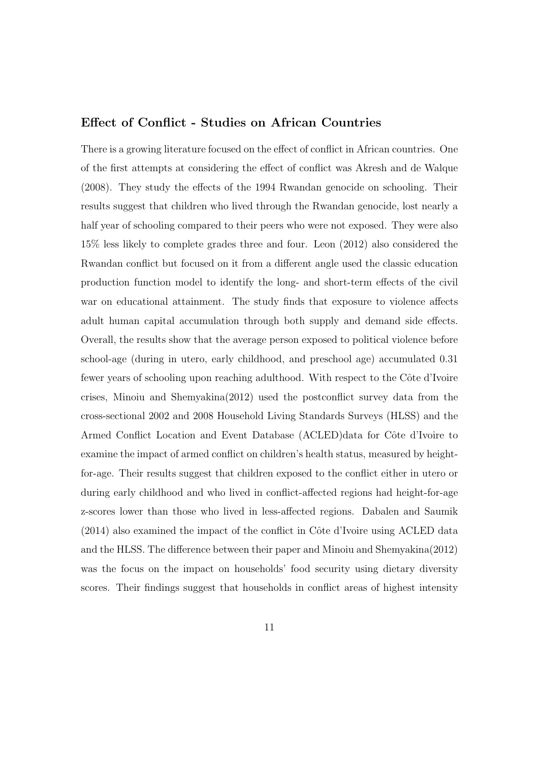#### Effect of Conflict - Studies on African Countries

There is a growing literature focused on the effect of conflict in African countries. One of the first attempts at considering the effect of conflict was Akresh and de Walque (2008). They study the effects of the 1994 Rwandan genocide on schooling. Their results suggest that children who lived through the Rwandan genocide, lost nearly a half year of schooling compared to their peers who were not exposed. They were also 15% less likely to complete grades three and four. Leon (2012) also considered the Rwandan conflict but focused on it from a different angle used the classic education production function model to identify the long- and short-term effects of the civil war on educational attainment. The study finds that exposure to violence affects adult human capital accumulation through both supply and demand side effects. Overall, the results show that the average person exposed to political violence before school-age (during in utero, early childhood, and preschool age) accumulated 0.31 fewer years of schooling upon reaching adulthood. With respect to the Côte d'Ivoire crises, Minoiu and Shemyakina(2012) used the postconflict survey data from the cross-sectional 2002 and 2008 Household Living Standards Surveys (HLSS) and the Armed Conflict Location and Event Database (ACLED)data for Côte d'Ivoire to examine the impact of armed conflict on children's health status, measured by heightfor-age. Their results suggest that children exposed to the conflict either in utero or during early childhood and who lived in conflict-affected regions had height-for-age z-scores lower than those who lived in less-affected regions. Dabalen and Saumik  $(2014)$  also examined the impact of the conflict in Côte d'Ivoire using ACLED data and the HLSS. The difference between their paper and Minoiu and Shemyakina $(2012)$ was the focus on the impact on households' food security using dietary diversity scores. Their findings suggest that households in conflict areas of highest intensity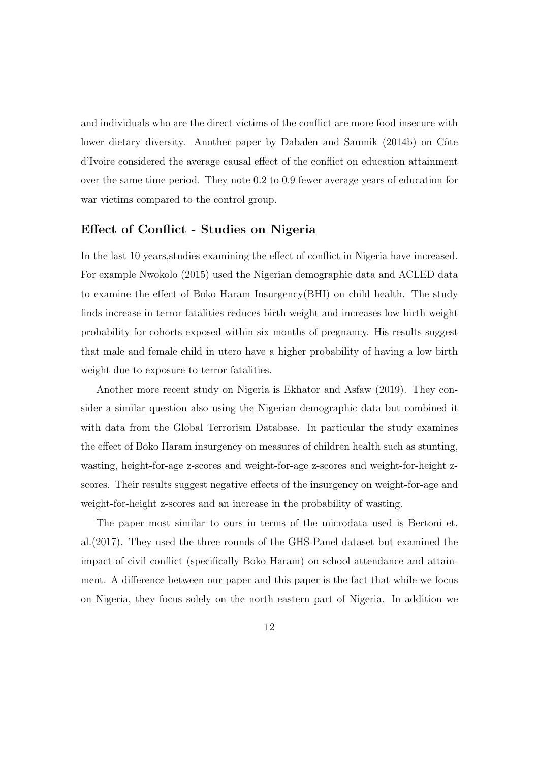and individuals who are the direct victims of the conflict are more food insecure with lower dietary diversity. Another paper by Dabalen and Saumik (2014b) on Côte d'Ivoire considered the average causal e↵ect of the conflict on education attainment over the same time period. They note 0.2 to 0.9 fewer average years of education for war victims compared to the control group.

#### Effect of Conflict - Studies on Nigeria

In the last 10 years, studies examining the effect of conflict in Nigeria have increased. For example Nwokolo (2015) used the Nigerian demographic data and ACLED data to examine the effect of Boko Haram Insurgency(BHI) on child health. The study finds increase in terror fatalities reduces birth weight and increases low birth weight probability for cohorts exposed within six months of pregnancy. His results suggest that male and female child in utero have a higher probability of having a low birth weight due to exposure to terror fatalities.

Another more recent study on Nigeria is Ekhator and Asfaw (2019). They consider a similar question also using the Nigerian demographic data but combined it with data from the Global Terrorism Database. In particular the study examines the effect of Boko Haram insurgency on measures of children health such as stunting, wasting, height-for-age z-scores and weight-for-age z-scores and weight-for-height zscores. Their results suggest negative effects of the insurgency on weight-for-age and weight-for-height z-scores and an increase in the probability of wasting.

The paper most similar to ours in terms of the microdata used is Bertoni et. al.(2017). They used the three rounds of the GHS-Panel dataset but examined the impact of civil conflict (specifically Boko Haram) on school attendance and attainment. A difference between our paper and this paper is the fact that while we focus on Nigeria, they focus solely on the north eastern part of Nigeria. In addition we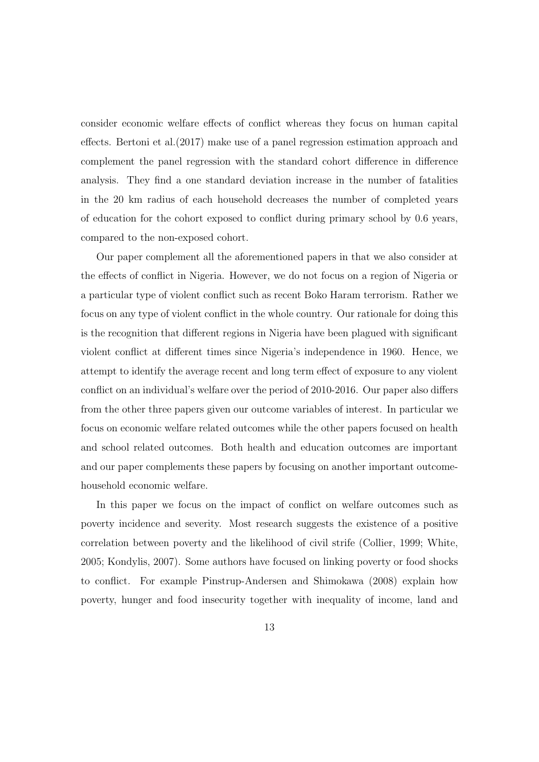consider economic welfare effects of conflict whereas they focus on human capital effects. Bertoni et al. $(2017)$  make use of a panel regression estimation approach and complement the panel regression with the standard cohort difference in difference analysis. They find a one standard deviation increase in the number of fatalities in the 20 km radius of each household decreases the number of completed years of education for the cohort exposed to conflict during primary school by 0.6 years, compared to the non-exposed cohort.

Our paper complement all the aforementioned papers in that we also consider at the effects of conflict in Nigeria. However, we do not focus on a region of Nigeria or a particular type of violent conflict such as recent Boko Haram terrorism. Rather we focus on any type of violent conflict in the whole country. Our rationale for doing this is the recognition that different regions in Nigeria have been plagued with significant violent conflict at different times since Nigeria's independence in 1960. Hence, we attempt to identify the average recent and long term effect of exposure to any violent conflict on an individual's welfare over the period of 2010-2016. Our paper also differs from the other three papers given our outcome variables of interest. In particular we focus on economic welfare related outcomes while the other papers focused on health and school related outcomes. Both health and education outcomes are important and our paper complements these papers by focusing on another important outcomehousehold economic welfare.

In this paper we focus on the impact of conflict on welfare outcomes such as poverty incidence and severity. Most research suggests the existence of a positive correlation between poverty and the likelihood of civil strife (Collier, 1999; White, 2005; Kondylis, 2007). Some authors have focused on linking poverty or food shocks to conflict. For example Pinstrup-Andersen and Shimokawa (2008) explain how poverty, hunger and food insecurity together with inequality of income, land and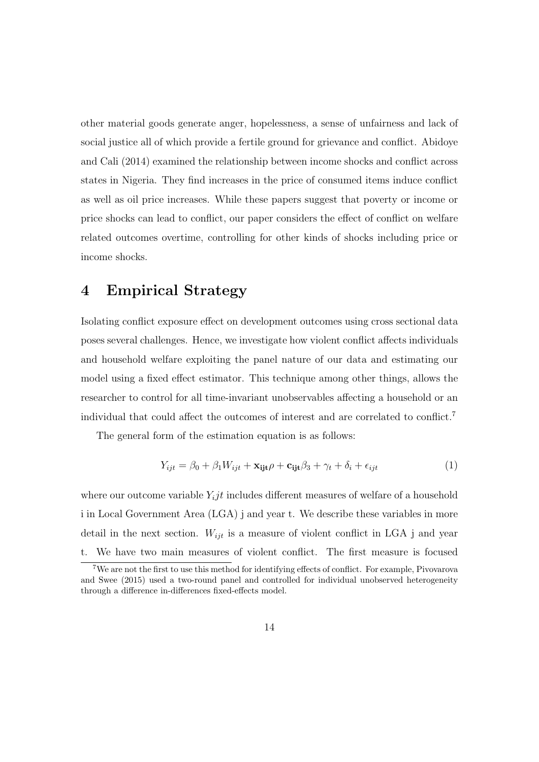other material goods generate anger, hopelessness, a sense of unfairness and lack of social justice all of which provide a fertile ground for grievance and conflict. Abidoye and Cali (2014) examined the relationship between income shocks and conflict across states in Nigeria. They find increases in the price of consumed items induce conflict as well as oil price increases. While these papers suggest that poverty or income or price shocks can lead to conflict, our paper considers the effect of conflict on welfare related outcomes overtime, controlling for other kinds of shocks including price or income shocks.

### 4 Empirical Strategy

Isolating conflict exposure effect on development outcomes using cross sectional data poses several challenges. Hence, we investigate how violent conflict affects individuals and household welfare exploiting the panel nature of our data and estimating our model using a fixed effect estimator. This technique among other things, allows the researcher to control for all time-invariant unobservables affecting a household or an individual that could affect the outcomes of interest and are correlated to conflict.<sup>7</sup>

The general form of the estimation equation is as follows:

$$
Y_{ijt} = \beta_0 + \beta_1 W_{ijt} + \mathbf{x}_{ijt}\rho + \mathbf{c}_{ijt}\beta_3 + \gamma_t + \delta_i + \epsilon_{ijt}
$$
 (1)

where our outcome variable  $Y_i$ *jt* includes different measures of welfare of a household i in Local Government Area (LGA) j and year t. We describe these variables in more detail in the next section.  $W_{ijt}$  is a measure of violent conflict in LGA j and year t. We have two main measures of violent conflict. The first measure is focused

<sup>&</sup>lt;sup>7</sup>We are not the first to use this method for identifying effects of conflict. For example, Pivovarova and Swee (2015) used a two-round panel and controlled for individual unobserved heterogeneity through a difference in-differences fixed-effects model.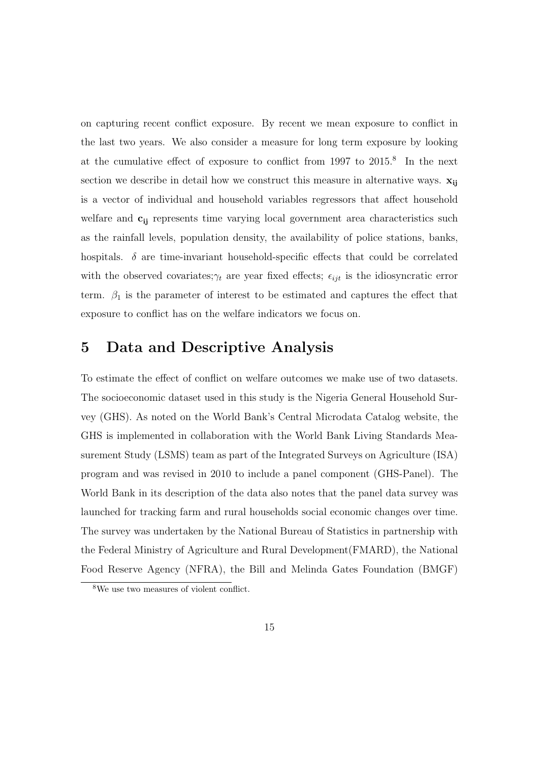on capturing recent conflict exposure. By recent we mean exposure to conflict in the last two years. We also consider a measure for long term exposure by looking at the cumulative effect of exposure to conflict from  $1997$  to  $2015$ .<sup>8</sup> In the next section we describe in detail how we construct this measure in alternative ways.  $\mathbf{x}_{ij}$ is a vector of individual and household variables regressors that affect household welfare and  $c_{ij}$  represents time varying local government area characteristics such as the rainfall levels, population density, the availability of police stations, banks, hospitals.  $\delta$  are time-invariant household-specific effects that could be correlated with the observed covariates; $\gamma_t$  are year fixed effects;  $\epsilon_{ijt}$  is the idiosyncratic error term.  $\beta_1$  is the parameter of interest to be estimated and captures the effect that exposure to conflict has on the welfare indicators we focus on.

# 5 Data and Descriptive Analysis

To estimate the effect of conflict on welfare outcomes we make use of two datasets. The socioeconomic dataset used in this study is the Nigeria General Household Survey (GHS). As noted on the World Bank's Central Microdata Catalog website, the GHS is implemented in collaboration with the World Bank Living Standards Measurement Study (LSMS) team as part of the Integrated Surveys on Agriculture (ISA) program and was revised in 2010 to include a panel component (GHS-Panel). The World Bank in its description of the data also notes that the panel data survey was launched for tracking farm and rural households social economic changes over time. The survey was undertaken by the National Bureau of Statistics in partnership with the Federal Ministry of Agriculture and Rural Development(FMARD), the National Food Reserve Agency (NFRA), the Bill and Melinda Gates Foundation (BMGF)

<sup>8</sup>We use two measures of violent conflict.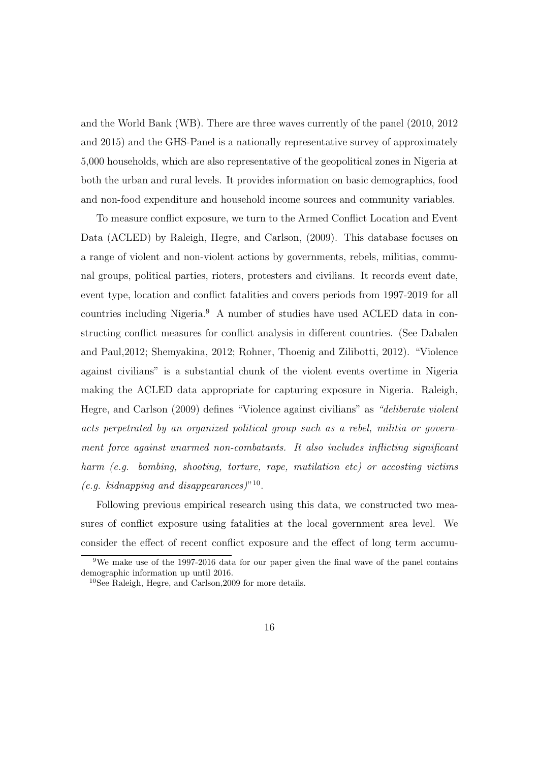and the World Bank (WB). There are three waves currently of the panel (2010, 2012 and 2015) and the GHS-Panel is a nationally representative survey of approximately 5,000 households, which are also representative of the geopolitical zones in Nigeria at both the urban and rural levels. It provides information on basic demographics, food and non-food expenditure and household income sources and community variables.

To measure conflict exposure, we turn to the Armed Conflict Location and Event Data (ACLED) by Raleigh, Hegre, and Carlson, (2009). This database focuses on a range of violent and non-violent actions by governments, rebels, militias, communal groups, political parties, rioters, protesters and civilians. It records event date, event type, location and conflict fatalities and covers periods from 1997-2019 for all countries including Nigeria.<sup>9</sup> A number of studies have used ACLED data in constructing conflict measures for conflict analysis in different countries. (See Dabalen and Paul,2012; Shemyakina, 2012; Rohner, Thoenig and Zilibotti, 2012). "Violence against civilians" is a substantial chunk of the violent events overtime in Nigeria making the ACLED data appropriate for capturing exposure in Nigeria. Raleigh, Hegre, and Carlson (2009) defines "Violence against civilians" as *"deliberate violent acts perpetrated by an organized political group such as a rebel, militia or government force against unarmed non-combatants. It also includes inflicting significant harm (e.g. bombing, shooting, torture, rape, mutilation etc) or accosting victims (e.g. kidnapping and disappearances)*"<sup>10</sup>.

Following previous empirical research using this data, we constructed two measures of conflict exposure using fatalities at the local government area level. We consider the effect of recent conflict exposure and the effect of long term accumu-

 $9$ We make use of the 1997-2016 data for our paper given the final wave of the panel contains demographic information up until 2016.

<sup>10</sup>See Raleigh, Hegre, and Carlson,2009 for more details.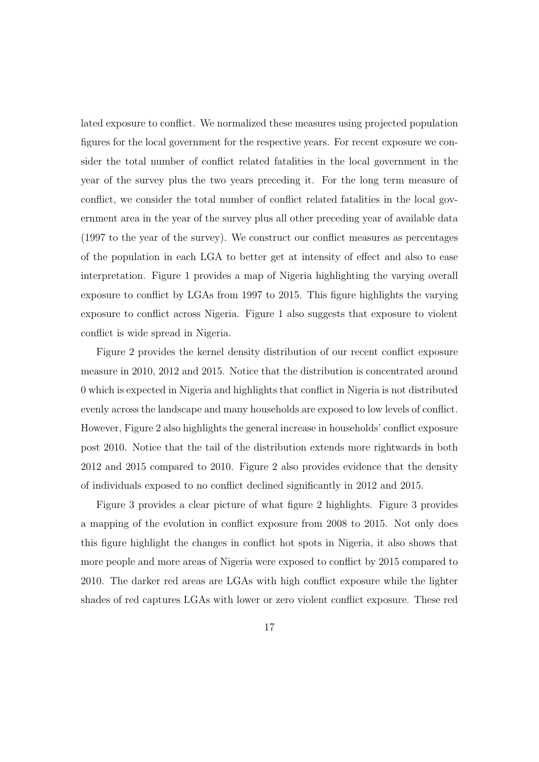lated exposure to conflict. We normalized these measures using projected population figures for the local government for the respective years. For recent exposure we consider the total number of conflict related fatalities in the local government in the year of the survey plus the two years preceding it. For the long term measure of conflict, we consider the total number of conflict related fatalities in the local government area in the year of the survey plus all other preceding year of available data (1997 to the year of the survey). We construct our conflict measures as percentages of the population in each LGA to better get at intensity of effect and also to ease interpretation. Figure 1 provides a map of Nigeria highlighting the varying overall exposure to conflict by LGAs from 1997 to 2015. This figure highlights the varying exposure to conflict across Nigeria. Figure 1 also suggests that exposure to violent conflict is wide spread in Nigeria.

Figure 2 provides the kernel density distribution of our recent conflict exposure measure in 2010, 2012 and 2015. Notice that the distribution is concentrated around 0 which is expected in Nigeria and highlights that conflict in Nigeria is not distributed evenly across the landscape and many households are exposed to low levels of conflict. However, Figure 2 also highlights the general increase in households' conflict exposure post 2010. Notice that the tail of the distribution extends more rightwards in both 2012 and 2015 compared to 2010. Figure 2 also provides evidence that the density of individuals exposed to no conflict declined significantly in 2012 and 2015.

Figure 3 provides a clear picture of what figure 2 highlights. Figure 3 provides a mapping of the evolution in conflict exposure from 2008 to 2015. Not only does this figure highlight the changes in conflict hot spots in Nigeria, it also shows that more people and more areas of Nigeria were exposed to conflict by 2015 compared to 2010. The darker red areas are LGAs with high conflict exposure while the lighter shades of red captures LGAs with lower or zero violent conflict exposure. These red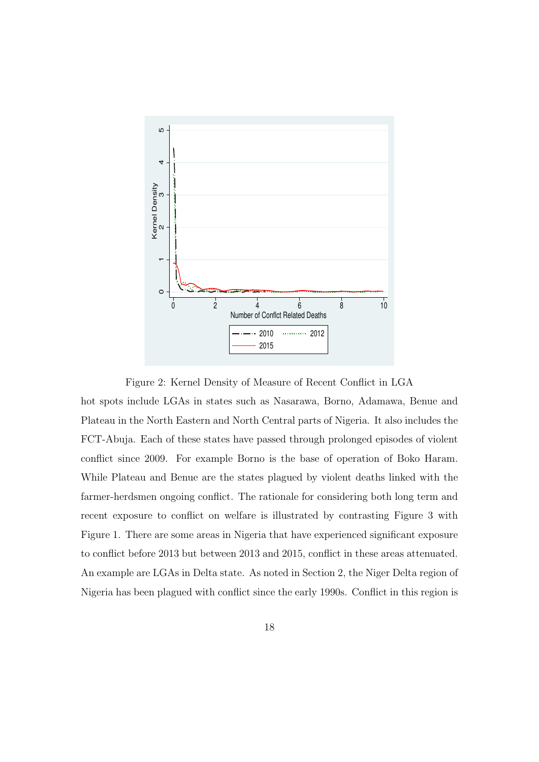

Figure 2: Kernel Density of Measure of Recent Conflict in LGA

hot spots include LGAs in states such as Nasarawa, Borno, Adamawa, Benue and Plateau in the North Eastern and North Central parts of Nigeria. It also includes the FCT-Abuja. Each of these states have passed through prolonged episodes of violent conflict since 2009. For example Borno is the base of operation of Boko Haram. While Plateau and Benue are the states plagued by violent deaths linked with the farmer-herdsmen ongoing conflict. The rationale for considering both long term and recent exposure to conflict on welfare is illustrated by contrasting Figure 3 with Figure 1. There are some areas in Nigeria that have experienced significant exposure to conflict before 2013 but between 2013 and 2015, conflict in these areas attenuated. An example are LGAs in Delta state. As noted in Section 2, the Niger Delta region of Nigeria has been plagued with conflict since the early 1990s. Conflict in this region is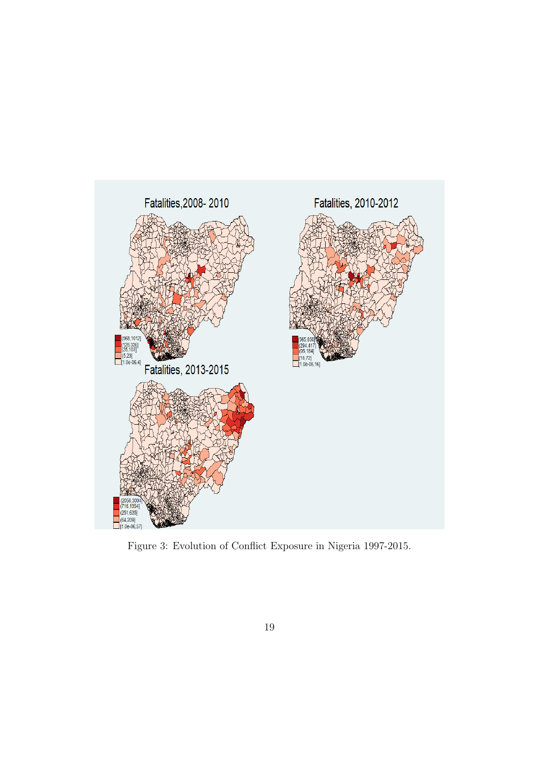

Figure 3: Evolution of Conflict Exposure in Nigeria 1997-2015.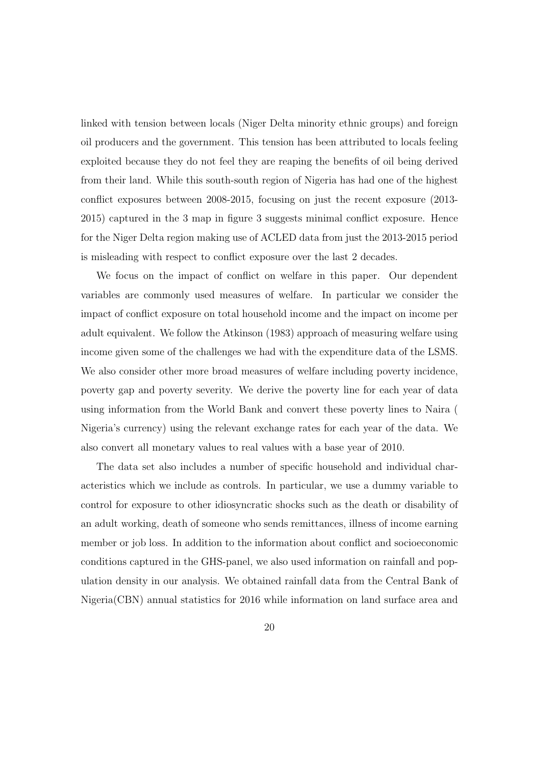linked with tension between locals (Niger Delta minority ethnic groups) and foreign oil producers and the government. This tension has been attributed to locals feeling exploited because they do not feel they are reaping the benefits of oil being derived from their land. While this south-south region of Nigeria has had one of the highest conflict exposures between 2008-2015, focusing on just the recent exposure (2013- 2015) captured in the 3 map in figure 3 suggests minimal conflict exposure. Hence for the Niger Delta region making use of ACLED data from just the 2013-2015 period is misleading with respect to conflict exposure over the last 2 decades.

We focus on the impact of conflict on welfare in this paper. Our dependent variables are commonly used measures of welfare. In particular we consider the impact of conflict exposure on total household income and the impact on income per adult equivalent. We follow the Atkinson (1983) approach of measuring welfare using income given some of the challenges we had with the expenditure data of the LSMS. We also consider other more broad measures of welfare including poverty incidence, poverty gap and poverty severity. We derive the poverty line for each year of data using information from the World Bank and convert these poverty lines to Naira ( Nigeria's currency) using the relevant exchange rates for each year of the data. We also convert all monetary values to real values with a base year of 2010.

The data set also includes a number of specific household and individual characteristics which we include as controls. In particular, we use a dummy variable to control for exposure to other idiosyncratic shocks such as the death or disability of an adult working, death of someone who sends remittances, illness of income earning member or job loss. In addition to the information about conflict and socioeconomic conditions captured in the GHS-panel, we also used information on rainfall and population density in our analysis. We obtained rainfall data from the Central Bank of Nigeria(CBN) annual statistics for 2016 while information on land surface area and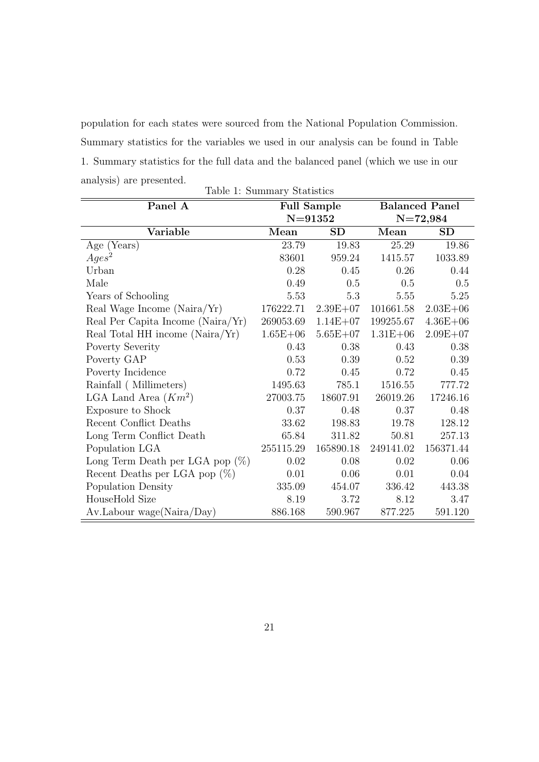population for each states were sourced from the National Population Commission. Summary statistics for the variables we used in our analysis can be found in Table 1. Summary statistics for the full data and the balanced panel (which we use in our analysis) are presented. Table 1: Summary Statistics

| Panel $\overline{A}$               |              | <b>Full Sample</b> |              | <b>Balanced Panel</b> |
|------------------------------------|--------------|--------------------|--------------|-----------------------|
|                                    |              | $N = 91352$        |              | $N=72,984$            |
| Variable                           | Mean         | <b>SD</b>          | Mean         | <b>SD</b>             |
| Age $(Years)$                      | 23.79        | 19.83              | 25.29        | 19.86                 |
| $Ages^2$                           | 83601        | 959.24             | 1415.57      | $1033.89\,$           |
| Urban                              | 0.28         | 0.45               | 0.26         | 0.44                  |
| Male                               | 0.49         | 0.5                | 0.5          | $0.5\,$               |
| Years of Schooling                 | 5.53         | 5.3                | 5.55         | 5.25                  |
| Real Wage Income (Naira/Yr)        | 176222.71    | $2.39E + 07$       | 101661.58    | $2.03E + 06$          |
| Real Per Capita Income (Naira/Yr)  | 269053.69    | $1.14E + 07$       | 199255.67    | $4.36E + 06$          |
| Real Total HH income (Naira/Yr)    | $1.65E + 06$ | $5.65E + 07$       | $1.31E + 06$ | $2.09E + 07$          |
| Poverty Severity                   | 0.43         | 0.38               | 0.43         | 0.38                  |
| Poverty GAP                        | 0.53         | 0.39               | 0.52         | 0.39                  |
| Poverty Incidence                  | 0.72         | 0.45               | 0.72         | 0.45                  |
| Rainfall (Millimeters)             | 1495.63      | 785.1              | 1516.55      | 777.72                |
| LGA Land Area $(Km^2)$             | 27003.75     | 18607.91           | 26019.26     | 17246.16              |
| Exposure to Shock                  | 0.37         | 0.48               | 0.37         | 0.48                  |
| Recent Conflict Deaths             | 33.62        | 198.83             | 19.78        | 128.12                |
| Long Term Conflict Death           | 65.84        | 311.82             | 50.81        | 257.13                |
| Population LGA                     | 255115.29    | 165890.18          | 249141.02    | 156371.44             |
| Long Term Death per LGA pop $(\%)$ | 0.02         | 0.08               | 0.02         | 0.06                  |
| Recent Deaths per LGA pop $(\%)$   | 0.01         | 0.06               | 0.01         | 0.04                  |
| Population Density                 | 335.09       | 454.07             | 336.42       | 443.38                |
| HouseHold Size                     | 8.19         | 3.72               | 8.12         | 3.47                  |
| Av.Labour wage(Naira/Day)          | 886.168      | 590.967            | 877.225      | 591.120               |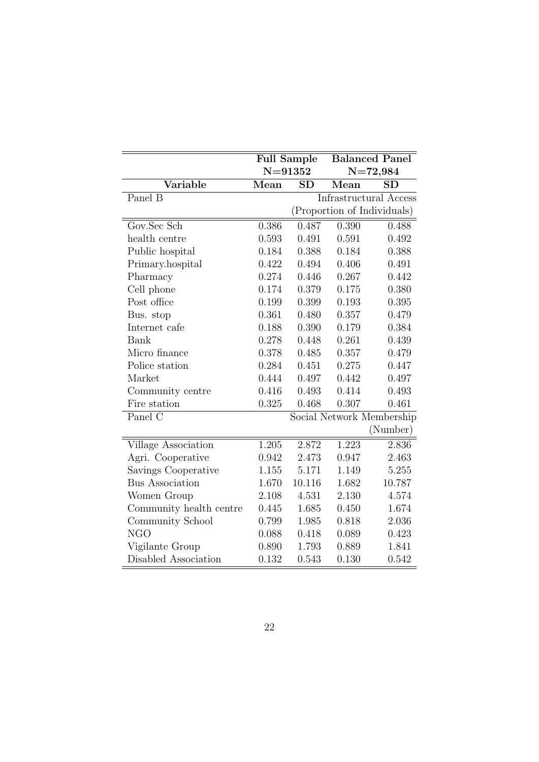|                         | <b>Full Sample</b> |             |       | <b>Balanced Panel</b>       |
|-------------------------|--------------------|-------------|-------|-----------------------------|
|                         |                    | $N = 91352$ |       | $N = 72,984$                |
| Variable                | Mean               | SD          | Mean  | <b>SD</b>                   |
| Panel B                 |                    |             |       | Infrastructural Access      |
|                         |                    |             |       | (Proportion of Individuals) |
| Gov.Sec Sch             | 0.386              | 0.487       | 0.390 | 0.488                       |
| health centre           | 0.593              | 0.491       | 0.591 | 0.492                       |
| Public hospital         | 0.184              | 0.388       | 0.184 | 0.388                       |
| Primary.hospital        | 0.422              | 0.494       | 0.406 | 0.491                       |
| Pharmacy                | 0.274              | 0.446       | 0.267 | 0.442                       |
| Cell phone              | 0.174              | 0.379       | 0.175 | 0.380                       |
| Post office             | 0.199              | 0.399       | 0.193 | 0.395                       |
| Bus. stop               | 0.361              | 0.480       | 0.357 | 0.479                       |
| Internet cafe           | 0.188              | 0.390       | 0.179 | 0.384                       |
| Bank                    | 0.278              | 0.448       | 0.261 | 0.439                       |
| Micro finance           | 0.378              | 0.485       | 0.357 | 0.479                       |
| Police station          | 0.284              | 0.451       | 0.275 | 0.447                       |
| Market                  | 0.444              | 0.497       | 0.442 | 0.497                       |
| Community centre        | 0.416              | 0.493       | 0.414 | 0.493                       |
| Fire station            | 0.325              | 0.468       | 0.307 | 0.461                       |
| Panel C                 |                    |             |       | Social Network Membership   |
|                         |                    |             |       | (Number)                    |
| Village Association     | 1.205              | 2.872       | 1.223 | 2.836                       |
| Agri. Cooperative       | 0.942              | 2.473       | 0.947 | 2.463                       |
| Savings Cooperative     | 1.155              | 5.171       | 1.149 | 5.255                       |
| <b>Bus Association</b>  | 1.670              | 10.116      | 1.682 | 10.787                      |
| Women Group             | 2.108              | 4.531       | 2.130 | 4.574                       |
| Community health centre | 0.445              | 1.685       | 0.450 | 1.674                       |
| Community School        | 0.799              | 1.985       | 0.818 | 2.036                       |
| <b>NGO</b>              | 0.088              | 0.418       | 0.089 | 0.423                       |
| Vigilante Group         | 0.890              | 1.793       | 0.889 | 1.841                       |
| Disabled Association    | 0.132              | 0.543       | 0.130 | 0.542                       |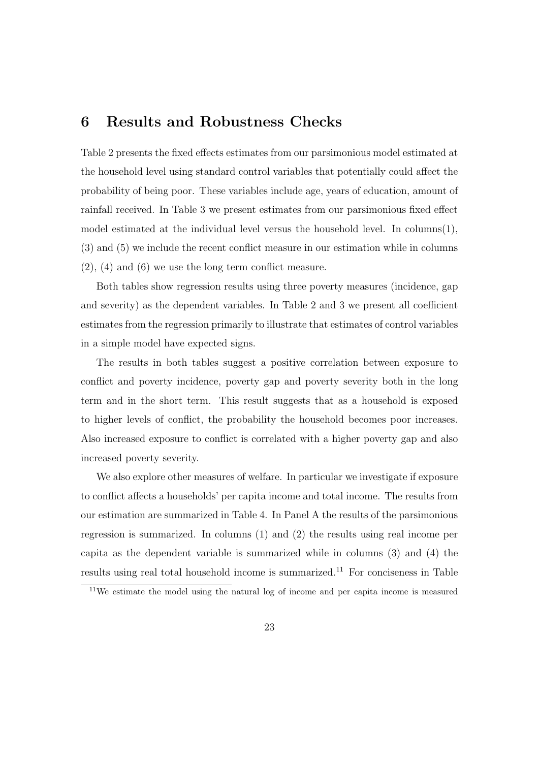### 6 Results and Robustness Checks

Table 2 presents the fixed effects estimates from our parsimonious model estimated at the household level using standard control variables that potentially could affect the probability of being poor. These variables include age, years of education, amount of rainfall received. In Table 3 we present estimates from our parsimonious fixed effect model estimated at the individual level versus the household level. In columns(1), (3) and (5) we include the recent conflict measure in our estimation while in columns (2), (4) and (6) we use the long term conflict measure.

Both tables show regression results using three poverty measures (incidence, gap and severity) as the dependent variables. In Table  $2$  and  $3$  we present all coefficient estimates from the regression primarily to illustrate that estimates of control variables in a simple model have expected signs.

The results in both tables suggest a positive correlation between exposure to conflict and poverty incidence, poverty gap and poverty severity both in the long term and in the short term. This result suggests that as a household is exposed to higher levels of conflict, the probability the household becomes poor increases. Also increased exposure to conflict is correlated with a higher poverty gap and also increased poverty severity.

We also explore other measures of welfare. In particular we investigate if exposure to conflict affects a households' per capita income and total income. The results from our estimation are summarized in Table 4. In Panel A the results of the parsimonious regression is summarized. In columns (1) and (2) the results using real income per capita as the dependent variable is summarized while in columns (3) and (4) the results using real total household income is summarized.<sup>11</sup> For conciseness in Table

<sup>11</sup>We estimate the model using the natural log of income and per capita income is measured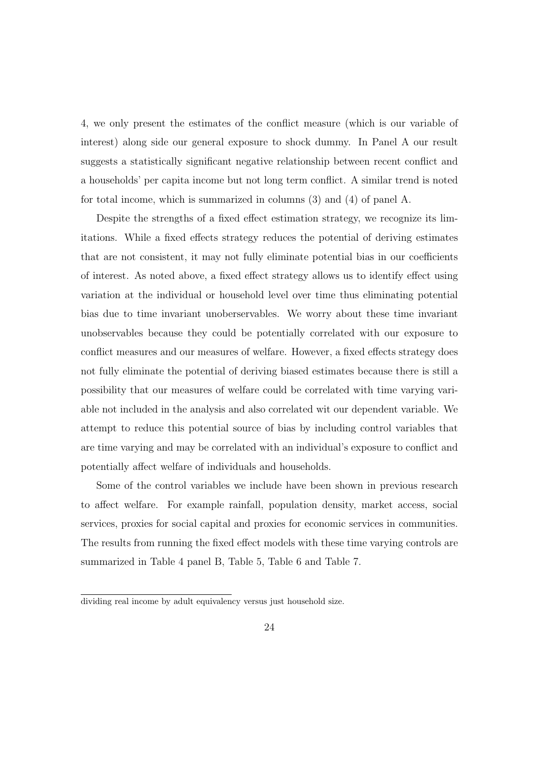4, we only present the estimates of the conflict measure (which is our variable of interest) along side our general exposure to shock dummy. In Panel A our result suggests a statistically significant negative relationship between recent conflict and a households' per capita income but not long term conflict. A similar trend is noted for total income, which is summarized in columns (3) and (4) of panel A.

Despite the strengths of a fixed effect estimation strategy, we recognize its limitations. While a fixed effects strategy reduces the potential of deriving estimates that are not consistent, it may not fully eliminate potential bias in our coefficients of interest. As noted above, a fixed effect strategy allows us to identify effect using variation at the individual or household level over time thus eliminating potential bias due to time invariant unoberservables. We worry about these time invariant unobservables because they could be potentially correlated with our exposure to conflict measures and our measures of welfare. However, a fixed effects strategy does not fully eliminate the potential of deriving biased estimates because there is still a possibility that our measures of welfare could be correlated with time varying variable not included in the analysis and also correlated wit our dependent variable. We attempt to reduce this potential source of bias by including control variables that are time varying and may be correlated with an individual's exposure to conflict and potentially affect welfare of individuals and households.

Some of the control variables we include have been shown in previous research to affect welfare. For example rainfall, population density, market access, social services, proxies for social capital and proxies for economic services in communities. The results from running the fixed effect models with these time varying controls are summarized in Table 4 panel B, Table 5, Table 6 and Table 7.

dividing real income by adult equivalency versus just household size.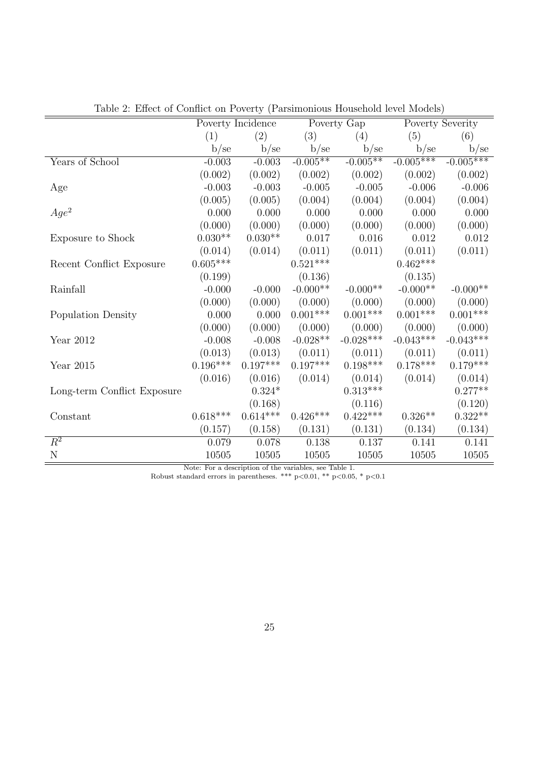|                             |            | Poverty Incidence |                 | Poverty Gap     |             | Poverty Severity |
|-----------------------------|------------|-------------------|-----------------|-----------------|-------------|------------------|
|                             | (1)        | (2)               | (3)             | (4)             | (5)         | (6)              |
|                             | b/sec      | b/se              | b/se            | b/se            | b/se        | b/se             |
| Years of School             | $-0.003$   | $-0.003$          | $-0.005**$      | $-0.005**$      | $-0.005***$ | $-0.005***$      |
|                             | (0.002)    | (0.002)           | (0.002)         | (0.002)         | (0.002)     | (0.002)          |
| Age                         | $-0.003$   | $-0.003$          | $-0.005$        | $-0.005$        | $-0.006$    | $-0.006$         |
|                             | (0.005)    | (0.005)           | (0.004)         | (0.004)         | (0.004)     | (0.004)          |
| $Age^2$                     | 0.000      | 0.000             | 0.000           | 0.000           | 0.000       | 0.000            |
|                             | (0.000)    | (0.000)           | (0.000)         | (0.000)         | (0.000)     | (0.000)          |
| Exposure to Shock           | $0.030**$  | $0.030**$         | 0.017           | 0.016           | 0.012       | $0.012\,$        |
|                             | (0.014)    | (0.014)           | (0.011)         | (0.011)         | (0.011)     | (0.011)          |
| Recent Conflict Exposure    | $0.605***$ |                   | $0.521***$      |                 | $0.462***$  |                  |
|                             | (0.199)    |                   | (0.136)         |                 | (0.135)     |                  |
| Rainfall                    | $-0.000$   | $-0.000$          | $-0.000**$      | $-0.000**$      | $-0.000**$  | $-0.000**$       |
|                             | (0.000)    | (0.000)           | (0.000)         | (0.000)         | (0.000)     | (0.000)          |
| Population Density          | 0.000      | 0.000             | $0.001^{***}\;$ | $0.001^{***}\;$ | $0.001***$  | $0.001^{***}\,$  |
|                             | (0.000)    | (0.000)           | (0.000)         | (0.000)         | (0.000)     | (0.000)          |
| Year 2012                   | $-0.008$   | $-0.008$          | $-0.028**$      | $-0.028***$     | $-0.043***$ | $-0.043***$      |
|                             | (0.013)    | (0.013)           | (0.011)         | (0.011)         | (0.011)     | (0.011)          |
| Year 2015                   | $0.196***$ | $0.197***$        | $0.197***$      | $0.198***$      | $0.178***$  | $0.179***$       |
|                             | (0.016)    | (0.016)           | (0.014)         | (0.014)         | (0.014)     | (0.014)          |
| Long-term Conflict Exposure |            | $0.324*$          |                 | $0.313^{***}\,$ |             | $0.277**$        |
|                             |            | (0.168)           |                 | (0.116)         |             | (0.120)          |
| Constant                    | $0.618***$ | $0.614***$        | $0.426***$      | $0.422***$      | $0.326**$   | $0.322**$        |
|                             | (0.157)    | (0.158)           | (0.131)         | (0.131)         | (0.134)     | (0.134)          |
| $\overline{R^2}$            | 0.079      | 0.078             | 0.138           | 0.137           | 0.141       | 0.141            |
| $\mathbf N$                 | 10505      | 10505             | 10505           | 10505           | 10505       | 10505            |

Table 2: Effect of Conflict on Poverty (Parsimonious Household level Models)

Note: For a description of the variables, see Table 1.

Robust standard errors in parentheses. \*\*\* p*<*0.01, \*\* p*<*0.05, \* p*<*0.1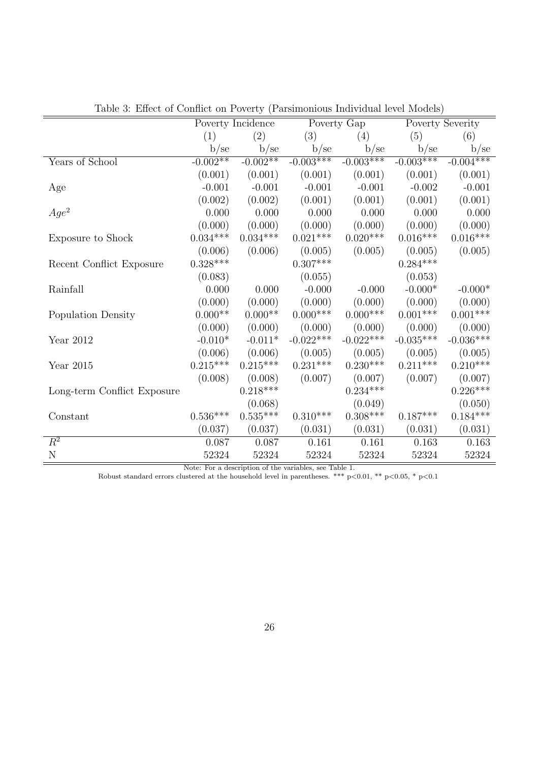|                             |            | Poverty Incidence |             | Poverty Gap |                 | Poverty Severity       |
|-----------------------------|------------|-------------------|-------------|-------------|-----------------|------------------------|
|                             | (1)        | (2)               | (3)         | (4)         | (5)             | (6)                    |
|                             | b/sec      | b/se              | b/se        | b/se        | b/se            | b/se                   |
| Years of School             | $-0.002**$ | $-0.002**$        | $-0.003***$ | $-0.003***$ | $-0.003***$     | $-0.004***$            |
|                             | (0.001)    | (0.001)           | (0.001)     | (0.001)     | (0.001)         | (0.001)                |
| Age                         | $-0.001$   | $-0.001$          | $-0.001$    | $-0.001$    | $-0.002$        | $-0.001$               |
|                             | (0.002)    | (0.002)           | (0.001)     | (0.001)     | (0.001)         | (0.001)                |
| $Age^2$                     | 0.000      | 0.000             | 0.000       | 0.000       | 0.000           | 0.000                  |
|                             | (0.000)    | (0.000)           | (0.000)     | (0.000)     | (0.000)         | (0.000)                |
| Exposure to Shock           | $0.034***$ | $0.034***$        | $0.021***$  | $0.020***$  | $0.016^{***}\,$ | $0.016^{***}\,$        |
|                             | (0.006)    | (0.006)           | (0.005)     | (0.005)     | (0.005)         | (0.005)                |
| Recent Conflict Exposure    | $0.328***$ |                   | $0.307***$  |             | $0.284***$      |                        |
|                             | (0.083)    |                   | (0.055)     |             | (0.053)         |                        |
| Rainfall                    | 0.000      | 0.000             | $-0.000$    | $-0.000$    | $-0.000*$       | $-0.000*$              |
|                             | (0.000)    | (0.000)           | (0.000)     | (0.000)     | (0.000)         | (0.000)                |
| Population Density          | $0.000**$  | $0.000**$         | $0.000***$  | $0.000$ *** | $0.001^{***}\;$ | $0.001***$             |
|                             | (0.000)    | (0.000)           | (0.000)     | (0.000)     | (0.000)         | (0.000)                |
| Year 2012                   | $-0.010*$  | $-0.011*$         | $-0.022***$ | $-0.022***$ | $-0.035***$     | $-0.036***$            |
|                             | (0.006)    | (0.006)           | (0.005)     | (0.005)     | (0.005)         | (0.005)                |
| Year 2015                   | $0.215***$ | $0.215***$        | $0.231***$  | $0.230***$  | $0.211***$      | $0.210***$             |
|                             | (0.008)    | (0.008)           | (0.007)     | (0.007)     | (0.007)         | (0.007)                |
| Long-term Conflict Exposure |            | $0.218***$        |             | $0.234***$  |                 | $0.226^{\ast\ast\ast}$ |
|                             |            | (0.068)           |             | (0.049)     |                 | (0.050)                |
| Constant                    | $0.536***$ | $0.535***$        | $0.310***$  | $0.308***$  | $0.187***$      | $0.184***$             |
|                             | (0.037)    | (0.037)           | (0.031)     | (0.031)     | (0.031)         | (0.031)                |
| $R^2$                       | 0.087      | 0.087             | 0.161       | 0.161       | 0.163           | 0.163                  |
| $\overline{N}$              | 52324      | 52324             | 52324       | 52324       | 52324           | 52324                  |

Table 3: Effect of Conflict on Poverty (Parsimonious Individual level Models)

Note: For a description of the variables, see Table 1.

Robust standard errors clustered at the household level in parentheses. \*\*\* p*<*0.01, \*\* p*<*0.05, \* p*<*0.1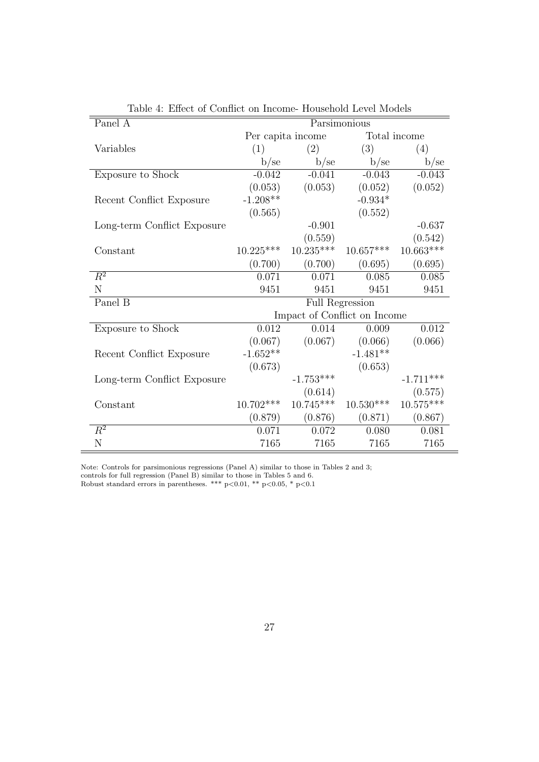| Panel A                     |             |                              | Parsimonious    |             |
|-----------------------------|-------------|------------------------------|-----------------|-------------|
|                             |             | Per capita income            | Total income    |             |
| Variables                   | (1)         | (2)                          | (3)             | (4)         |
|                             | b/se        | b/se                         | b/se            | b/se        |
| Exposure to Shock           | $-0.042$    | $-0.041$                     | $-0.043$        | $-0.043$    |
|                             | (0.053)     | (0.053)                      | (0.052)         | (0.052)     |
| Recent Conflict Exposure    | $-1.208**$  |                              | $-0.934*$       |             |
|                             | (0.565)     |                              | (0.552)         |             |
| Long-term Conflict Exposure |             | $-0.901$                     |                 | $-0.637$    |
|                             |             | (0.559)                      |                 | (0.542)     |
| Constant                    | $10.225***$ | $10.235***$                  | $10.657***$     | $10.663***$ |
|                             | (0.700)     | (0.700)                      | (0.695)         | (0.695)     |
| $\overline{R^2}$            | 0.071       | 0.071                        | 0.085           | 0.085       |
| N                           | 9451        | 9451                         | 9451            | 9451        |
| Panel B                     |             |                              | Full Regression |             |
|                             |             | Impact of Conflict on Income |                 |             |
| Exposure to Shock           | 0.012       | 0.014                        | 0.009           | 0.012       |
|                             | (0.067)     | (0.067)                      | (0.066)         | (0.066)     |
| Recent Conflict Exposure    | $-1.652**$  |                              | $-1.481**$      |             |
|                             | (0.673)     |                              | (0.653)         |             |
| Long-term Conflict Exposure |             | $-1.753***$                  |                 | $-1.711***$ |
|                             |             | (0.614)                      |                 | (0.575)     |
| Constant                    | $10.702***$ | $10.745***$                  | $10.530***$     | $10.575***$ |
|                             | (0.879)     | (0.876)                      | (0.871)         | (0.867)     |
| $\overline{R^2}$            | 0.071       | 0.072                        | 0.080           | 0.081       |
| N                           | 7165        | 7165                         | 7165            | 7165        |

Table 4: Effect of Conflict on Income- Household Level Models

Note: Controls for parsimonious regressions (Panel A) similar to those in Tables 2 and 3; controls for full regression (Panel B) similar to those in Tables 5 and 6. Robust standard errors in parentheses. \*\*\* p*<*0.01, \*\* p*<*0.05, \* p*<*0.1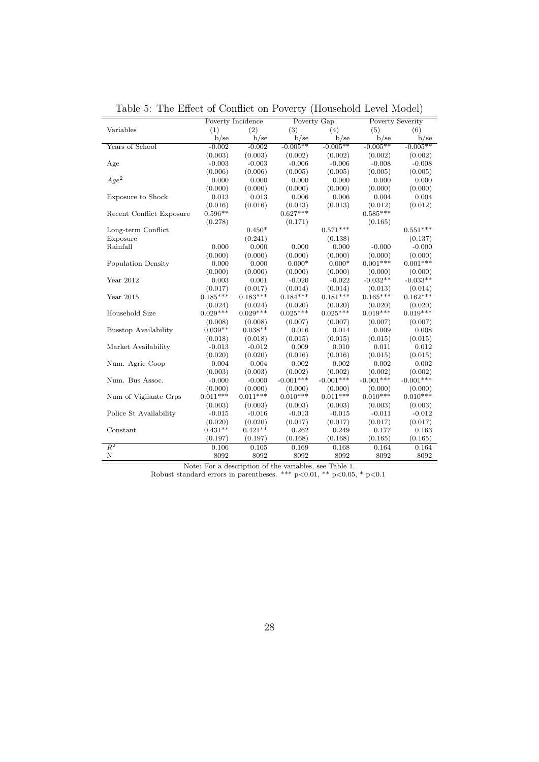| ranic a.                    |            | THE LITTLE OF COMME ON T OVER BY |             |             | Triodoctiona Licvel Model |               |
|-----------------------------|------------|----------------------------------|-------------|-------------|---------------------------|---------------|
|                             |            | Poverty Incidence                |             | Poverty Gap | Poverty Severity          |               |
| Variables                   | (1)        | (2)                              | (3)         | (4)         | (5)                       | (6)           |
|                             | $b$ /se    | $b$ /se                          | $b$ /se     | b/se        | b/se                      | $b$ /se       |
| Years of School             | $-0.002$   | $-0.002$                         | $-0.005**$  | $-0.005**$  | $-0.005**$                | $-0.005**$    |
|                             | (0.003)    | (0.003)                          | (0.002)     | (0.002)     | (0.002)                   | (0.002)       |
| Age                         | $-0.003$   | $-0.003$                         | $-0.006$    | $-0.006$    | $-0.008$                  | $-0.008$      |
|                             | (0.006)    | (0.006)                          | (0.005)     | (0.005)     | (0.005)                   | (0.005)       |
| $Aqe^2$                     | 0.000      | 0.000                            | 0.000       | 0.000       | 0.000                     | 0.000         |
|                             | (0.000)    | (0.000)                          | (0.000)     | (0.000)     | (0.000)                   | (0.000)       |
| Exposure to Shock           | 0.013      | 0.013                            | 0.006       | 0.006       | 0.004                     | 0.004         |
|                             | (0.016)    | (0.016)                          | (0.013)     | (0.013)     | (0.012)                   | (0.012)       |
| Recent Conflict Exposure    | $0.596**$  |                                  | $0.627***$  |             | $0.585***$                |               |
|                             | (0.278)    |                                  | (0.171)     |             | (0.165)                   |               |
| Long-term Conflict          |            | $0.450*$                         |             | $0.571***$  |                           | $0.551***$    |
| Exposure                    |            | (0.241)                          |             | (0.138)     |                           | (0.137)       |
| Rainfall                    | 0.000      | 0.000                            | 0.000       | 0.000       | $-0.000$                  | $-0.000$      |
|                             | (0.000)    | (0.000)                          | (0.000)     | (0.000)     | (0.000)                   | (0.000)       |
| Population Density          | 0.000      | 0.000                            | $0.000*$    | $0.000*$    | $0.001***$                | $0.001***$    |
|                             | (0.000)    | (0.000)                          | (0.000)     | (0.000)     | (0.000)                   | (0.000)       |
| Year 2012                   | 0.003      | 0.001                            | $-0.020$    | $-0.022$    | $-0.032**$                | $-0.033**$    |
|                             | (0.017)    | (0.017)                          | (0.014)     | (0.014)     | (0.013)                   | (0.014)       |
| Year 2015                   | $0.185***$ | $0.183***$                       | $0.184***$  | $0.181***$  | $0.165***$                | $0.162***$    |
|                             | (0.024)    | (0.024)                          | (0.020)     | (0.020)     | (0.020)                   | (0.020)       |
| Household Size              | $0.029***$ | $0.029***$                       | $0.025***$  | $0.025***$  | $0.019***$                | $0.019***$    |
|                             | (0.008)    | (0.008)                          | (0.007)     | (0.007)     | (0.007)                   | (0.007)       |
| <b>Busstop Availability</b> | $0.039**$  | $0.038**$                        | 0.016       | 0.014       | 0.009                     | 0.008         |
|                             | (0.018)    | (0.018)                          | (0.015)     | (0.015)     | (0.015)                   | (0.015)       |
| Market Availability         | $-0.013$   | $-0.012$                         | 0.009       | 0.010       | 0.011                     | 0.012         |
|                             | (0.020)    | (0.020)                          | (0.016)     | (0.016)     | (0.015)                   | (0.015)       |
| Num. Agric Coop             | 0.004      | 0.004                            | 0.002       | 0.002       | 0.002                     | 0.002         |
|                             | (0.003)    | (0.003)                          | (0.002)     | (0.002)     | (0.002)                   | (0.002)       |
| Num. Bus Assoc.             | $-0.000$   | $-0.000$                         | $-0.001***$ | $-0.001***$ | $-0.001***$               | $-0.001***$   |
|                             | (0.000)    | (0.000)                          | (0.000)     | (0.000)     | (0.000)                   | (0.000)       |
| Num of Vigilante Grps       | $0.011***$ | $0.011***$                       | $0.010***$  | $0.011***$  | $0.010***$                | $0.010***$    |
|                             | (0.003)    | (0.003)                          | (0.003)     | (0.003)     | (0.003)                   | (0.003)       |
| Police St Availability      | $-0.015$   | $-0.016$                         | $-0.013$    | $-0.015$    | $-0.011$                  | $-0.012$      |
|                             | (0.020)    | (0.020)                          | (0.017)     | (0.017)     | (0.017)                   | (0.017)       |
| Constant                    | $0.431**$  | $0.421**$                        | 0.262       | 0.249       | 0.177                     | 0.163         |
|                             | (0.197)    | (0.197)                          | (0.168)     | (0.168)     | (0.165)                   | (0.165)       |
| $R^2$                       | 0.106      | 0.105                            | 0.169       | 0.168       | 0.164                     |               |
| $\mathbf N$                 | 8092       | 8092                             | 8092        | 8092        | 8092                      | 0.164<br>8092 |

Table 5: The Effect of Conflict on Poverty (Household Level Model)

Note: For a description of the variables, see Table 1.

Robust standard errors in parentheses. \*\*\* p*<*0.01, \*\* p*<*0.05, \* p*<*0.1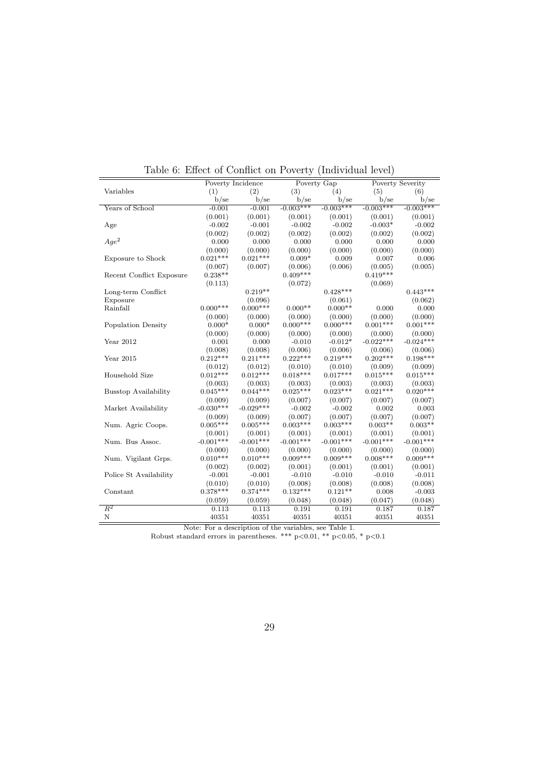| (1)<br>(2)<br>(3)<br>(4)<br>(5)<br>Variables<br>(6)<br>b/se<br>b/se<br>$b$ /se<br>b/se<br>b/se<br>b/sec<br>$-0.003***$<br>$-0.003***$<br>$-0.003***$<br>$-0.003***$<br>Years of School<br>$-0.001$<br>$-0.001$<br>(0.001)<br>(0.001)<br>(0.001)<br>(0.001)<br>(0.001)<br>(0.001)<br>$-0.002$<br>$-0.001$<br>$-0.003*$<br>$-0.002$<br>$-0.002$<br>$-0.002$<br>Age<br>(0.002)<br>(0.002)<br>(0.002)<br>(0.002)<br>(0.002)<br>(0.002)<br>$Age^2$<br>0.000<br>0.000<br>0.000<br>0.000<br>0.000<br>0.000<br>(0.000)<br>(0.000)<br>(0.000)<br>(0.000)<br>(0.000)<br>(0.000)<br>$0.021***$<br>$0.021***$<br>$0.009*$<br>0.009<br>0.006<br>Exposure to Shock<br>0.007<br>(0.007)<br>(0.006)<br>(0.006)<br>(0.005)<br>(0.007)<br>(0.005)<br>$0.409***$<br>$0.419***$<br>$0.238**$<br>Recent Conflict Exposure<br>(0.072)<br>(0.069)<br>(0.113)<br>$0.219**$<br>$0.428***$<br>Long-term Conflict<br>$0.443***$<br>(0.096)<br>(0.061)<br>(0.062)<br>Exposure<br>$0.000***$<br>$0.000***$<br>$0.000**$<br>$0.000**$<br>0.000<br>Rainfall<br>0.000<br>(0.000)<br>(0.000)<br>(0.000)<br>(0.000)<br>(0.000)<br>(0.000)<br>$0.000***$<br>$0.000***$<br>$0.001***$<br>$0.001***$<br>$0.000*$<br>$0.000*$<br>Population Density<br>(0.000)<br>(0.000)<br>(0.000)<br>(0.000)<br>(0.000)<br>(0.000)<br>$-0.022***$<br>$-0.012*$<br>$-0.024***$<br>Year 2012<br>0.001<br>0.000<br>$-0.010$<br>(0.008)<br>(0.008)<br>(0.006)<br>(0.006)<br>(0.006)<br>(0.006)<br>$0.212***$<br>$0.202***$<br>$0.211***$<br>$0.222***$<br>$0.219***$<br>$0.198***$<br>Year 2015<br>(0.010)<br>(0.009)<br>(0.009)<br>(0.012)<br>(0.012)<br>(0.010)<br>$0.012***$<br>$0.018***$<br>$0.012***$<br>$0.017***$<br>$0.015***$<br>$0.015***$<br>Household Size<br>(0.003)<br>(0.003)<br>(0.003)<br>(0.003)<br>(0.003)<br>(0.003)<br>$0.045***$<br>$0.044***$<br>$0.025***$<br>$0.023***$<br>$0.021***$<br>$0.020***$<br><b>Busstop Availability</b><br>(0.009)<br>(0.007)<br>(0.007)<br>(0.007)<br>(0.007)<br>(0.009)<br>$-0.030***$<br>$-0.029***$<br>$-0.002$<br>0.003<br>Market Availability<br>$-0.002$<br>0.002<br>(0.007)<br>(0.007)<br>(0.007)<br>(0.007)<br>(0.009)<br>(0.009)<br>$0.005***$<br>$0.005***$<br>$0.003***$<br>$0.003***$<br>$0.003**$<br>$0.003**$<br>Num. Agric Coops.<br>(0.001)<br>(0.001)<br>(0.001)<br>(0.001)<br>(0.001)<br>(0.001)<br>$-0.001***$<br>$-0.001***$<br>$-0.001***$<br>$-0.001***$<br>$-0.001***$<br>$-0.001***$<br>Num. Bus Assoc.<br>(0.000)<br>(0.000)<br>(0.000)<br>(0.000)<br>(0.000)<br>(0.000)<br>$0.010***$<br>$0.010***$<br>$0.009***$<br>$0.009***$<br>$0.008***$<br>$0.009***$<br>Num. Vigilant Grps.<br>(0.002)<br>(0.001)<br>(0.002)<br>(0.001)<br>(0.001)<br>(0.001)<br>$-0.001$<br>$-0.001$<br>$-0.010$<br>$-0.010$<br>$-0.010$<br>$-0.011$<br>Police St Availability<br>(0.010)<br>(0.008)<br>(0.008)<br>(0.008)<br>(0.010)<br>(0.008)<br>$0.378***$<br>$0.374***$<br>$0.132***$<br>$0.121**$<br>0.008<br>$-0.003$<br>Constant<br>(0.059)<br>(0.059)<br>(0.048)<br>(0.048)<br>(0.047)<br>(0.048)<br>$\overline{R^2}$<br>0.113<br>0.113<br>0.191<br>0.191<br>0.187<br>0.187<br>$\mathbf N$<br>40351<br>40351<br>40351<br>40351<br>40351<br>40351 |  | Poverty Incidence | Poverty Gap | <b>Poverty Severity</b> |
|------------------------------------------------------------------------------------------------------------------------------------------------------------------------------------------------------------------------------------------------------------------------------------------------------------------------------------------------------------------------------------------------------------------------------------------------------------------------------------------------------------------------------------------------------------------------------------------------------------------------------------------------------------------------------------------------------------------------------------------------------------------------------------------------------------------------------------------------------------------------------------------------------------------------------------------------------------------------------------------------------------------------------------------------------------------------------------------------------------------------------------------------------------------------------------------------------------------------------------------------------------------------------------------------------------------------------------------------------------------------------------------------------------------------------------------------------------------------------------------------------------------------------------------------------------------------------------------------------------------------------------------------------------------------------------------------------------------------------------------------------------------------------------------------------------------------------------------------------------------------------------------------------------------------------------------------------------------------------------------------------------------------------------------------------------------------------------------------------------------------------------------------------------------------------------------------------------------------------------------------------------------------------------------------------------------------------------------------------------------------------------------------------------------------------------------------------------------------------------------------------------------------------------------------------------------------------------------------------------------------------------------------------------------------------------------------------------------------------------------------------------------------------------------------------------------------------------------------------------------------------------------------------------------------------------------------------------------------------------------------------------------------------------------------------------------------------------------------------------------------------------------------------------|--|-------------------|-------------|-------------------------|
|                                                                                                                                                                                                                                                                                                                                                                                                                                                                                                                                                                                                                                                                                                                                                                                                                                                                                                                                                                                                                                                                                                                                                                                                                                                                                                                                                                                                                                                                                                                                                                                                                                                                                                                                                                                                                                                                                                                                                                                                                                                                                                                                                                                                                                                                                                                                                                                                                                                                                                                                                                                                                                                                                                                                                                                                                                                                                                                                                                                                                                                                                                                                                            |  |                   |             |                         |
|                                                                                                                                                                                                                                                                                                                                                                                                                                                                                                                                                                                                                                                                                                                                                                                                                                                                                                                                                                                                                                                                                                                                                                                                                                                                                                                                                                                                                                                                                                                                                                                                                                                                                                                                                                                                                                                                                                                                                                                                                                                                                                                                                                                                                                                                                                                                                                                                                                                                                                                                                                                                                                                                                                                                                                                                                                                                                                                                                                                                                                                                                                                                                            |  |                   |             |                         |
|                                                                                                                                                                                                                                                                                                                                                                                                                                                                                                                                                                                                                                                                                                                                                                                                                                                                                                                                                                                                                                                                                                                                                                                                                                                                                                                                                                                                                                                                                                                                                                                                                                                                                                                                                                                                                                                                                                                                                                                                                                                                                                                                                                                                                                                                                                                                                                                                                                                                                                                                                                                                                                                                                                                                                                                                                                                                                                                                                                                                                                                                                                                                                            |  |                   |             |                         |
|                                                                                                                                                                                                                                                                                                                                                                                                                                                                                                                                                                                                                                                                                                                                                                                                                                                                                                                                                                                                                                                                                                                                                                                                                                                                                                                                                                                                                                                                                                                                                                                                                                                                                                                                                                                                                                                                                                                                                                                                                                                                                                                                                                                                                                                                                                                                                                                                                                                                                                                                                                                                                                                                                                                                                                                                                                                                                                                                                                                                                                                                                                                                                            |  |                   |             |                         |
|                                                                                                                                                                                                                                                                                                                                                                                                                                                                                                                                                                                                                                                                                                                                                                                                                                                                                                                                                                                                                                                                                                                                                                                                                                                                                                                                                                                                                                                                                                                                                                                                                                                                                                                                                                                                                                                                                                                                                                                                                                                                                                                                                                                                                                                                                                                                                                                                                                                                                                                                                                                                                                                                                                                                                                                                                                                                                                                                                                                                                                                                                                                                                            |  |                   |             |                         |
|                                                                                                                                                                                                                                                                                                                                                                                                                                                                                                                                                                                                                                                                                                                                                                                                                                                                                                                                                                                                                                                                                                                                                                                                                                                                                                                                                                                                                                                                                                                                                                                                                                                                                                                                                                                                                                                                                                                                                                                                                                                                                                                                                                                                                                                                                                                                                                                                                                                                                                                                                                                                                                                                                                                                                                                                                                                                                                                                                                                                                                                                                                                                                            |  |                   |             |                         |
|                                                                                                                                                                                                                                                                                                                                                                                                                                                                                                                                                                                                                                                                                                                                                                                                                                                                                                                                                                                                                                                                                                                                                                                                                                                                                                                                                                                                                                                                                                                                                                                                                                                                                                                                                                                                                                                                                                                                                                                                                                                                                                                                                                                                                                                                                                                                                                                                                                                                                                                                                                                                                                                                                                                                                                                                                                                                                                                                                                                                                                                                                                                                                            |  |                   |             |                         |
|                                                                                                                                                                                                                                                                                                                                                                                                                                                                                                                                                                                                                                                                                                                                                                                                                                                                                                                                                                                                                                                                                                                                                                                                                                                                                                                                                                                                                                                                                                                                                                                                                                                                                                                                                                                                                                                                                                                                                                                                                                                                                                                                                                                                                                                                                                                                                                                                                                                                                                                                                                                                                                                                                                                                                                                                                                                                                                                                                                                                                                                                                                                                                            |  |                   |             |                         |
|                                                                                                                                                                                                                                                                                                                                                                                                                                                                                                                                                                                                                                                                                                                                                                                                                                                                                                                                                                                                                                                                                                                                                                                                                                                                                                                                                                                                                                                                                                                                                                                                                                                                                                                                                                                                                                                                                                                                                                                                                                                                                                                                                                                                                                                                                                                                                                                                                                                                                                                                                                                                                                                                                                                                                                                                                                                                                                                                                                                                                                                                                                                                                            |  |                   |             |                         |
|                                                                                                                                                                                                                                                                                                                                                                                                                                                                                                                                                                                                                                                                                                                                                                                                                                                                                                                                                                                                                                                                                                                                                                                                                                                                                                                                                                                                                                                                                                                                                                                                                                                                                                                                                                                                                                                                                                                                                                                                                                                                                                                                                                                                                                                                                                                                                                                                                                                                                                                                                                                                                                                                                                                                                                                                                                                                                                                                                                                                                                                                                                                                                            |  |                   |             |                         |
|                                                                                                                                                                                                                                                                                                                                                                                                                                                                                                                                                                                                                                                                                                                                                                                                                                                                                                                                                                                                                                                                                                                                                                                                                                                                                                                                                                                                                                                                                                                                                                                                                                                                                                                                                                                                                                                                                                                                                                                                                                                                                                                                                                                                                                                                                                                                                                                                                                                                                                                                                                                                                                                                                                                                                                                                                                                                                                                                                                                                                                                                                                                                                            |  |                   |             |                         |
|                                                                                                                                                                                                                                                                                                                                                                                                                                                                                                                                                                                                                                                                                                                                                                                                                                                                                                                                                                                                                                                                                                                                                                                                                                                                                                                                                                                                                                                                                                                                                                                                                                                                                                                                                                                                                                                                                                                                                                                                                                                                                                                                                                                                                                                                                                                                                                                                                                                                                                                                                                                                                                                                                                                                                                                                                                                                                                                                                                                                                                                                                                                                                            |  |                   |             |                         |
|                                                                                                                                                                                                                                                                                                                                                                                                                                                                                                                                                                                                                                                                                                                                                                                                                                                                                                                                                                                                                                                                                                                                                                                                                                                                                                                                                                                                                                                                                                                                                                                                                                                                                                                                                                                                                                                                                                                                                                                                                                                                                                                                                                                                                                                                                                                                                                                                                                                                                                                                                                                                                                                                                                                                                                                                                                                                                                                                                                                                                                                                                                                                                            |  |                   |             |                         |
|                                                                                                                                                                                                                                                                                                                                                                                                                                                                                                                                                                                                                                                                                                                                                                                                                                                                                                                                                                                                                                                                                                                                                                                                                                                                                                                                                                                                                                                                                                                                                                                                                                                                                                                                                                                                                                                                                                                                                                                                                                                                                                                                                                                                                                                                                                                                                                                                                                                                                                                                                                                                                                                                                                                                                                                                                                                                                                                                                                                                                                                                                                                                                            |  |                   |             |                         |
|                                                                                                                                                                                                                                                                                                                                                                                                                                                                                                                                                                                                                                                                                                                                                                                                                                                                                                                                                                                                                                                                                                                                                                                                                                                                                                                                                                                                                                                                                                                                                                                                                                                                                                                                                                                                                                                                                                                                                                                                                                                                                                                                                                                                                                                                                                                                                                                                                                                                                                                                                                                                                                                                                                                                                                                                                                                                                                                                                                                                                                                                                                                                                            |  |                   |             |                         |
|                                                                                                                                                                                                                                                                                                                                                                                                                                                                                                                                                                                                                                                                                                                                                                                                                                                                                                                                                                                                                                                                                                                                                                                                                                                                                                                                                                                                                                                                                                                                                                                                                                                                                                                                                                                                                                                                                                                                                                                                                                                                                                                                                                                                                                                                                                                                                                                                                                                                                                                                                                                                                                                                                                                                                                                                                                                                                                                                                                                                                                                                                                                                                            |  |                   |             |                         |
|                                                                                                                                                                                                                                                                                                                                                                                                                                                                                                                                                                                                                                                                                                                                                                                                                                                                                                                                                                                                                                                                                                                                                                                                                                                                                                                                                                                                                                                                                                                                                                                                                                                                                                                                                                                                                                                                                                                                                                                                                                                                                                                                                                                                                                                                                                                                                                                                                                                                                                                                                                                                                                                                                                                                                                                                                                                                                                                                                                                                                                                                                                                                                            |  |                   |             |                         |
|                                                                                                                                                                                                                                                                                                                                                                                                                                                                                                                                                                                                                                                                                                                                                                                                                                                                                                                                                                                                                                                                                                                                                                                                                                                                                                                                                                                                                                                                                                                                                                                                                                                                                                                                                                                                                                                                                                                                                                                                                                                                                                                                                                                                                                                                                                                                                                                                                                                                                                                                                                                                                                                                                                                                                                                                                                                                                                                                                                                                                                                                                                                                                            |  |                   |             |                         |
|                                                                                                                                                                                                                                                                                                                                                                                                                                                                                                                                                                                                                                                                                                                                                                                                                                                                                                                                                                                                                                                                                                                                                                                                                                                                                                                                                                                                                                                                                                                                                                                                                                                                                                                                                                                                                                                                                                                                                                                                                                                                                                                                                                                                                                                                                                                                                                                                                                                                                                                                                                                                                                                                                                                                                                                                                                                                                                                                                                                                                                                                                                                                                            |  |                   |             |                         |
|                                                                                                                                                                                                                                                                                                                                                                                                                                                                                                                                                                                                                                                                                                                                                                                                                                                                                                                                                                                                                                                                                                                                                                                                                                                                                                                                                                                                                                                                                                                                                                                                                                                                                                                                                                                                                                                                                                                                                                                                                                                                                                                                                                                                                                                                                                                                                                                                                                                                                                                                                                                                                                                                                                                                                                                                                                                                                                                                                                                                                                                                                                                                                            |  |                   |             |                         |
|                                                                                                                                                                                                                                                                                                                                                                                                                                                                                                                                                                                                                                                                                                                                                                                                                                                                                                                                                                                                                                                                                                                                                                                                                                                                                                                                                                                                                                                                                                                                                                                                                                                                                                                                                                                                                                                                                                                                                                                                                                                                                                                                                                                                                                                                                                                                                                                                                                                                                                                                                                                                                                                                                                                                                                                                                                                                                                                                                                                                                                                                                                                                                            |  |                   |             |                         |
|                                                                                                                                                                                                                                                                                                                                                                                                                                                                                                                                                                                                                                                                                                                                                                                                                                                                                                                                                                                                                                                                                                                                                                                                                                                                                                                                                                                                                                                                                                                                                                                                                                                                                                                                                                                                                                                                                                                                                                                                                                                                                                                                                                                                                                                                                                                                                                                                                                                                                                                                                                                                                                                                                                                                                                                                                                                                                                                                                                                                                                                                                                                                                            |  |                   |             |                         |
|                                                                                                                                                                                                                                                                                                                                                                                                                                                                                                                                                                                                                                                                                                                                                                                                                                                                                                                                                                                                                                                                                                                                                                                                                                                                                                                                                                                                                                                                                                                                                                                                                                                                                                                                                                                                                                                                                                                                                                                                                                                                                                                                                                                                                                                                                                                                                                                                                                                                                                                                                                                                                                                                                                                                                                                                                                                                                                                                                                                                                                                                                                                                                            |  |                   |             |                         |
|                                                                                                                                                                                                                                                                                                                                                                                                                                                                                                                                                                                                                                                                                                                                                                                                                                                                                                                                                                                                                                                                                                                                                                                                                                                                                                                                                                                                                                                                                                                                                                                                                                                                                                                                                                                                                                                                                                                                                                                                                                                                                                                                                                                                                                                                                                                                                                                                                                                                                                                                                                                                                                                                                                                                                                                                                                                                                                                                                                                                                                                                                                                                                            |  |                   |             |                         |
|                                                                                                                                                                                                                                                                                                                                                                                                                                                                                                                                                                                                                                                                                                                                                                                                                                                                                                                                                                                                                                                                                                                                                                                                                                                                                                                                                                                                                                                                                                                                                                                                                                                                                                                                                                                                                                                                                                                                                                                                                                                                                                                                                                                                                                                                                                                                                                                                                                                                                                                                                                                                                                                                                                                                                                                                                                                                                                                                                                                                                                                                                                                                                            |  |                   |             |                         |
|                                                                                                                                                                                                                                                                                                                                                                                                                                                                                                                                                                                                                                                                                                                                                                                                                                                                                                                                                                                                                                                                                                                                                                                                                                                                                                                                                                                                                                                                                                                                                                                                                                                                                                                                                                                                                                                                                                                                                                                                                                                                                                                                                                                                                                                                                                                                                                                                                                                                                                                                                                                                                                                                                                                                                                                                                                                                                                                                                                                                                                                                                                                                                            |  |                   |             |                         |
|                                                                                                                                                                                                                                                                                                                                                                                                                                                                                                                                                                                                                                                                                                                                                                                                                                                                                                                                                                                                                                                                                                                                                                                                                                                                                                                                                                                                                                                                                                                                                                                                                                                                                                                                                                                                                                                                                                                                                                                                                                                                                                                                                                                                                                                                                                                                                                                                                                                                                                                                                                                                                                                                                                                                                                                                                                                                                                                                                                                                                                                                                                                                                            |  |                   |             |                         |
|                                                                                                                                                                                                                                                                                                                                                                                                                                                                                                                                                                                                                                                                                                                                                                                                                                                                                                                                                                                                                                                                                                                                                                                                                                                                                                                                                                                                                                                                                                                                                                                                                                                                                                                                                                                                                                                                                                                                                                                                                                                                                                                                                                                                                                                                                                                                                                                                                                                                                                                                                                                                                                                                                                                                                                                                                                                                                                                                                                                                                                                                                                                                                            |  |                   |             |                         |
|                                                                                                                                                                                                                                                                                                                                                                                                                                                                                                                                                                                                                                                                                                                                                                                                                                                                                                                                                                                                                                                                                                                                                                                                                                                                                                                                                                                                                                                                                                                                                                                                                                                                                                                                                                                                                                                                                                                                                                                                                                                                                                                                                                                                                                                                                                                                                                                                                                                                                                                                                                                                                                                                                                                                                                                                                                                                                                                                                                                                                                                                                                                                                            |  |                   |             |                         |
|                                                                                                                                                                                                                                                                                                                                                                                                                                                                                                                                                                                                                                                                                                                                                                                                                                                                                                                                                                                                                                                                                                                                                                                                                                                                                                                                                                                                                                                                                                                                                                                                                                                                                                                                                                                                                                                                                                                                                                                                                                                                                                                                                                                                                                                                                                                                                                                                                                                                                                                                                                                                                                                                                                                                                                                                                                                                                                                                                                                                                                                                                                                                                            |  |                   |             |                         |
|                                                                                                                                                                                                                                                                                                                                                                                                                                                                                                                                                                                                                                                                                                                                                                                                                                                                                                                                                                                                                                                                                                                                                                                                                                                                                                                                                                                                                                                                                                                                                                                                                                                                                                                                                                                                                                                                                                                                                                                                                                                                                                                                                                                                                                                                                                                                                                                                                                                                                                                                                                                                                                                                                                                                                                                                                                                                                                                                                                                                                                                                                                                                                            |  |                   |             |                         |
|                                                                                                                                                                                                                                                                                                                                                                                                                                                                                                                                                                                                                                                                                                                                                                                                                                                                                                                                                                                                                                                                                                                                                                                                                                                                                                                                                                                                                                                                                                                                                                                                                                                                                                                                                                                                                                                                                                                                                                                                                                                                                                                                                                                                                                                                                                                                                                                                                                                                                                                                                                                                                                                                                                                                                                                                                                                                                                                                                                                                                                                                                                                                                            |  |                   |             |                         |
|                                                                                                                                                                                                                                                                                                                                                                                                                                                                                                                                                                                                                                                                                                                                                                                                                                                                                                                                                                                                                                                                                                                                                                                                                                                                                                                                                                                                                                                                                                                                                                                                                                                                                                                                                                                                                                                                                                                                                                                                                                                                                                                                                                                                                                                                                                                                                                                                                                                                                                                                                                                                                                                                                                                                                                                                                                                                                                                                                                                                                                                                                                                                                            |  |                   |             |                         |
|                                                                                                                                                                                                                                                                                                                                                                                                                                                                                                                                                                                                                                                                                                                                                                                                                                                                                                                                                                                                                                                                                                                                                                                                                                                                                                                                                                                                                                                                                                                                                                                                                                                                                                                                                                                                                                                                                                                                                                                                                                                                                                                                                                                                                                                                                                                                                                                                                                                                                                                                                                                                                                                                                                                                                                                                                                                                                                                                                                                                                                                                                                                                                            |  |                   |             |                         |
|                                                                                                                                                                                                                                                                                                                                                                                                                                                                                                                                                                                                                                                                                                                                                                                                                                                                                                                                                                                                                                                                                                                                                                                                                                                                                                                                                                                                                                                                                                                                                                                                                                                                                                                                                                                                                                                                                                                                                                                                                                                                                                                                                                                                                                                                                                                                                                                                                                                                                                                                                                                                                                                                                                                                                                                                                                                                                                                                                                                                                                                                                                                                                            |  |                   |             |                         |
|                                                                                                                                                                                                                                                                                                                                                                                                                                                                                                                                                                                                                                                                                                                                                                                                                                                                                                                                                                                                                                                                                                                                                                                                                                                                                                                                                                                                                                                                                                                                                                                                                                                                                                                                                                                                                                                                                                                                                                                                                                                                                                                                                                                                                                                                                                                                                                                                                                                                                                                                                                                                                                                                                                                                                                                                                                                                                                                                                                                                                                                                                                                                                            |  |                   |             |                         |
|                                                                                                                                                                                                                                                                                                                                                                                                                                                                                                                                                                                                                                                                                                                                                                                                                                                                                                                                                                                                                                                                                                                                                                                                                                                                                                                                                                                                                                                                                                                                                                                                                                                                                                                                                                                                                                                                                                                                                                                                                                                                                                                                                                                                                                                                                                                                                                                                                                                                                                                                                                                                                                                                                                                                                                                                                                                                                                                                                                                                                                                                                                                                                            |  |                   |             |                         |
|                                                                                                                                                                                                                                                                                                                                                                                                                                                                                                                                                                                                                                                                                                                                                                                                                                                                                                                                                                                                                                                                                                                                                                                                                                                                                                                                                                                                                                                                                                                                                                                                                                                                                                                                                                                                                                                                                                                                                                                                                                                                                                                                                                                                                                                                                                                                                                                                                                                                                                                                                                                                                                                                                                                                                                                                                                                                                                                                                                                                                                                                                                                                                            |  |                   |             |                         |
|                                                                                                                                                                                                                                                                                                                                                                                                                                                                                                                                                                                                                                                                                                                                                                                                                                                                                                                                                                                                                                                                                                                                                                                                                                                                                                                                                                                                                                                                                                                                                                                                                                                                                                                                                                                                                                                                                                                                                                                                                                                                                                                                                                                                                                                                                                                                                                                                                                                                                                                                                                                                                                                                                                                                                                                                                                                                                                                                                                                                                                                                                                                                                            |  |                   |             |                         |
|                                                                                                                                                                                                                                                                                                                                                                                                                                                                                                                                                                                                                                                                                                                                                                                                                                                                                                                                                                                                                                                                                                                                                                                                                                                                                                                                                                                                                                                                                                                                                                                                                                                                                                                                                                                                                                                                                                                                                                                                                                                                                                                                                                                                                                                                                                                                                                                                                                                                                                                                                                                                                                                                                                                                                                                                                                                                                                                                                                                                                                                                                                                                                            |  |                   |             |                         |

Table 6: Effect of Conflict on Poverty (Individual level)

Note: For a description of the variables, see Table 1.

Robust standard errors in parentheses. \*\*\* p*<*0.01, \*\* p*<*0.05, \* p*<*0.1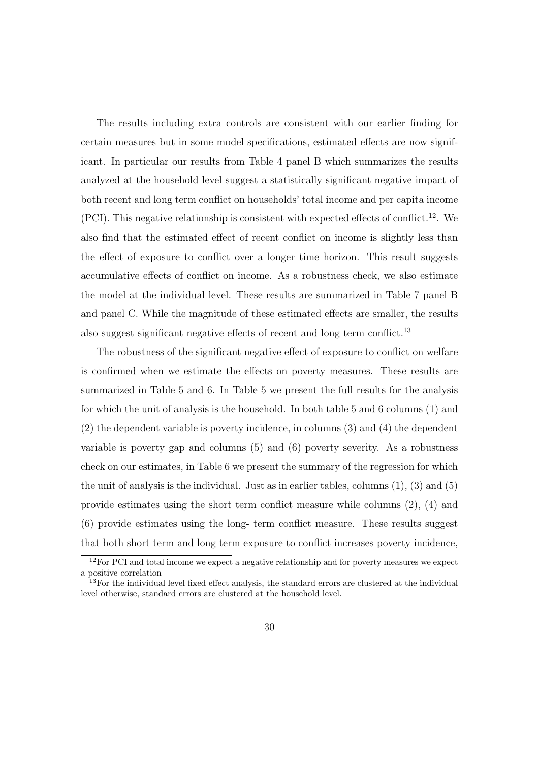The results including extra controls are consistent with our earlier finding for certain measures but in some model specifications, estimated effects are now significant. In particular our results from Table 4 panel B which summarizes the results analyzed at the household level suggest a statistically significant negative impact of both recent and long term conflict on households' total income and per capita income (PCI). This negative relationship is consistent with expected effects of conflict.<sup>12</sup>. We also find that the estimated effect of recent conflict on income is slightly less than the effect of exposure to conflict over a longer time horizon. This result suggests accumulative effects of conflict on income. As a robustness check, we also estimate the model at the individual level. These results are summarized in Table 7 panel B and panel C. While the magnitude of these estimated effects are smaller, the results also suggest significant negative effects of recent and long term conflict.<sup>13</sup>

The robustness of the significant negative effect of exposure to conflict on welfare is confirmed when we estimate the effects on poverty measures. These results are summarized in Table 5 and 6. In Table 5 we present the full results for the analysis for which the unit of analysis is the household. In both table 5 and 6 columns (1) and (2) the dependent variable is poverty incidence, in columns (3) and (4) the dependent variable is poverty gap and columns (5) and (6) poverty severity. As a robustness check on our estimates, in Table 6 we present the summary of the regression for which the unit of analysis is the individual. Just as in earlier tables, columns  $(1)$ ,  $(3)$  and  $(5)$ provide estimates using the short term conflict measure while columns (2), (4) and (6) provide estimates using the long- term conflict measure. These results suggest that both short term and long term exposure to conflict increases poverty incidence,

 $12$  For PCI and total income we expect a negative relationship and for poverty measures we expect a positive correlation

 $13$ For the individual level fixed effect analysis, the standard errors are clustered at the individual level otherwise, standard errors are clustered at the household level.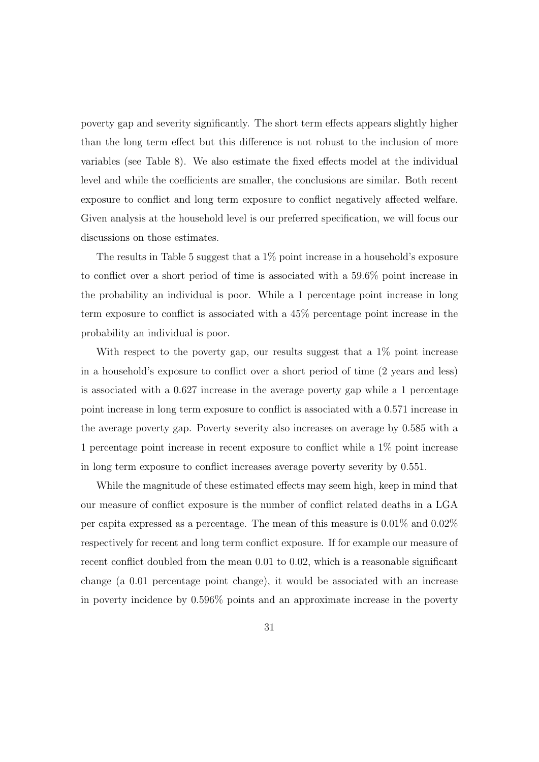poverty gap and severity significantly. The short term effects appears slightly higher than the long term effect but this difference is not robust to the inclusion of more variables (see Table 8). We also estimate the fixed effects model at the individual level and while the coefficients are smaller, the conclusions are similar. Both recent exposure to conflict and long term exposure to conflict negatively affected welfare. Given analysis at the household level is our preferred specification, we will focus our discussions on those estimates.

The results in Table 5 suggest that a 1% point increase in a household's exposure to conflict over a short period of time is associated with a 59.6% point increase in the probability an individual is poor. While a 1 percentage point increase in long term exposure to conflict is associated with a 45% percentage point increase in the probability an individual is poor.

With respect to the poverty gap, our results suggest that a 1% point increase in a household's exposure to conflict over a short period of time (2 years and less) is associated with a 0.627 increase in the average poverty gap while a 1 percentage point increase in long term exposure to conflict is associated with a 0.571 increase in the average poverty gap. Poverty severity also increases on average by 0.585 with a 1 percentage point increase in recent exposure to conflict while a 1% point increase in long term exposure to conflict increases average poverty severity by 0.551.

While the magnitude of these estimated effects may seem high, keep in mind that our measure of conflict exposure is the number of conflict related deaths in a LGA per capita expressed as a percentage. The mean of this measure is 0.01% and 0.02% respectively for recent and long term conflict exposure. If for example our measure of recent conflict doubled from the mean 0.01 to 0.02, which is a reasonable significant change (a 0.01 percentage point change), it would be associated with an increase in poverty incidence by 0.596% points and an approximate increase in the poverty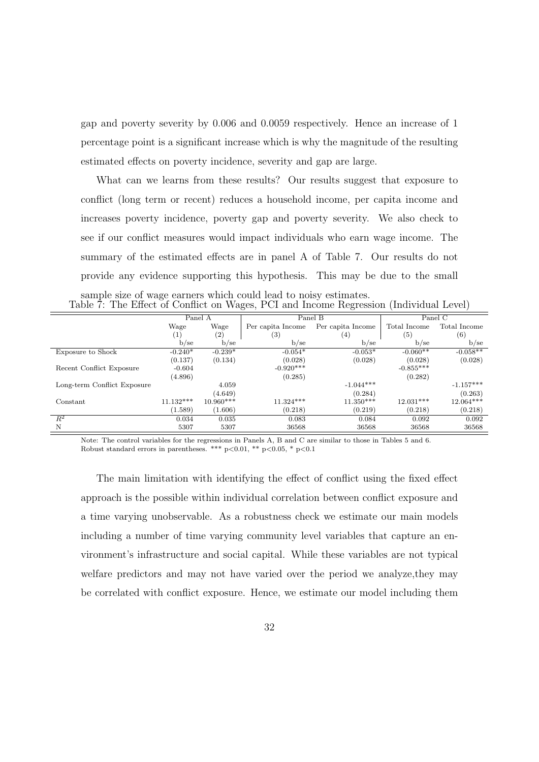gap and poverty severity by 0.006 and 0.0059 respectively. Hence an increase of 1 percentage point is a significant increase which is why the magnitude of the resulting estimated effects on poverty incidence, severity and gap are large.

What can we learns from these results? Our results suggest that exposure to conflict (long term or recent) reduces a household income, per capita income and increases poverty incidence, poverty gap and poverty severity. We also check to see if our conflict measures would impact individuals who earn wage income. The summary of the estimated effects are in panel A of Table 7. Our results do not provide any evidence supporting this hypothesis. This may be due to the small

| sample size of wage earners which could lead to noisy estimates.                       |  |  |  |
|----------------------------------------------------------------------------------------|--|--|--|
| Table 7: The Effect of Conflict on Wages, PCI and Income Regression (Individual Level) |  |  |  |

|                             | Panel A     |             | Panel B           |                   |              | Panel C      |
|-----------------------------|-------------|-------------|-------------------|-------------------|--------------|--------------|
|                             | Wage        | Wage        | Per capita Income | Per capita Income | Total Income | Total Income |
|                             | (1)         | (2)         | $^{(3)}$          | $^{(4)}$          | (5)          | (6)          |
|                             | $b$ /se     | $b$ /se     | $b$ /se           | $b$ /se           | $b$ /se      | b/sec        |
| Exposure to Shock           | $-0.240*$   | $-0.239*$   | $-0.054*$         | $-0.053*$         | $-0.060**$   | $-0.058**$   |
|                             | (0.137)     | (0.134)     | (0.028)           | (0.028)           | (0.028)      | (0.028)      |
| Recent Conflict Exposure    | $-0.604$    |             | $-0.920***$       |                   | $-0.855***$  |              |
|                             | (4.896)     |             | (0.285)           |                   | (0.282)      |              |
| Long-term Conflict Exposure |             | 4.059       |                   | $-1.044***$       |              | $-1.157***$  |
|                             |             | (4.649)     |                   | (0.284)           |              | (0.263)      |
| Constant                    | $11.132***$ | $10.960***$ | $11.324***$       | $11.350***$       | $12.031***$  | $12.064***$  |
|                             | (1.589)     | (1.606)     | (0.218)           | (0.219)           | (0.218)      | (0.218)      |
| $R^2$                       | 0.034       | 0.035       | 0.083             | 0.084             | 0.092        | 0.092        |
| N                           | 5307        | 5307        | 36568             | 36568             | 36568        | 36568        |

Note: The control variables for the regressions in Panels A, B and C are similar to those in Tables 5 and 6. Robust standard errors in parentheses. \*\*\* p*<*0.01, \*\* p*<*0.05, \* p*<*0.1

The main limitation with identifying the effect of conflict using the fixed effect approach is the possible within individual correlation between conflict exposure and a time varying unobservable. As a robustness check we estimate our main models including a number of time varying community level variables that capture an environment's infrastructure and social capital. While these variables are not typical welfare predictors and may not have varied over the period we analyze,they may be correlated with conflict exposure. Hence, we estimate our model including them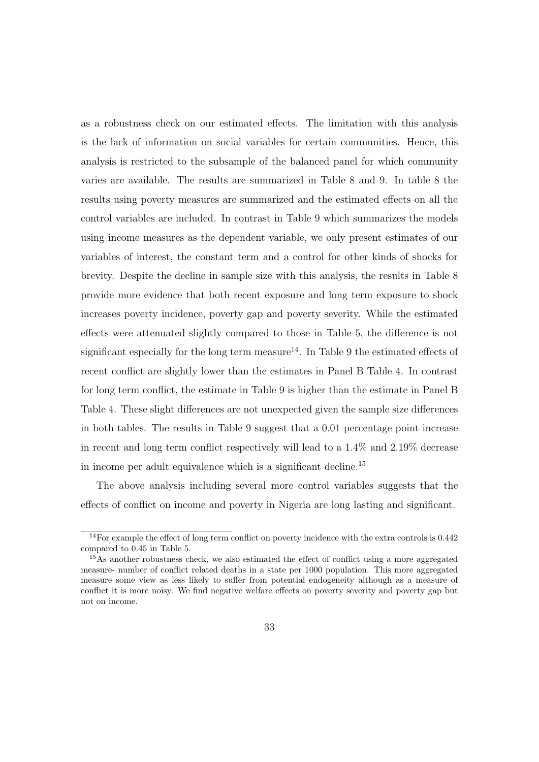as a robustness check on our estimated effects. The limitation with this analysis is the lack of information on social variables for certain communities. Hence, this analysis is restricted to the subsample of the balanced panel for which community varies are available. The results are summarized in Table 8 and 9. In table 8 the results using poverty measures are summarized and the estimated effects on all the control variables are included. In contrast in Table 9 which summarizes the models using income measures as the dependent variable, we only present estimates of our variables of interest, the constant term and a control for other kinds of shocks for brevity. Despite the decline in sample size with this analysis, the results in Table 8 provide more evidence that both recent exposure and long term exposure to shock increases poverty incidence, poverty gap and poverty severity. While the estimated effects were attenuated slightly compared to those in Table 5, the difference is not significant especially for the long term measure<sup>14</sup>. In Table 9 the estimated effects of recent conflict are slightly lower than the estimates in Panel B Table 4. In contrast for long term conflict, the estimate in Table 9 is higher than the estimate in Panel B Table 4. These slight differences are not unexpected given the sample size differences in both tables. The results in Table 9 suggest that a 0.01 percentage point increase in recent and long term conflict respectively will lead to a 1.4% and 2.19% decrease in income per adult equivalence which is a significant decline.<sup>15</sup>

The above analysis including several more control variables suggests that the effects of conflict on income and poverty in Nigeria are long lasting and significant.

 $14$ For example the effect of long term conflict on poverty incidence with the extra controls is 0.442 compared to 0.45 in Table 5.

 $15\,\text{As}$  another robustness check, we also estimated the effect of conflict using a more aggregated measure- number of conflict related deaths in a state per 1000 population. This more aggregated measure some view as less likely to suffer from potential endogeneity although as a measure of conflict it is more noisy. We find negative welfare effects on poverty severity and poverty gap but not on income.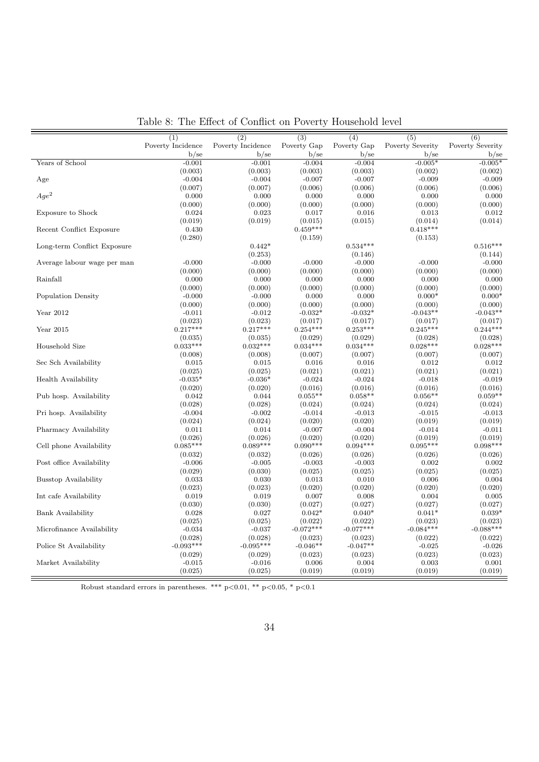|                             | (1)                   | (2)                   | (3)                   | (4)                   | (5)                   | (6)                   |
|-----------------------------|-----------------------|-----------------------|-----------------------|-----------------------|-----------------------|-----------------------|
|                             | Poverty Incidence     | Poverty Incidence     | Poverty Gap           | Poverty Gap           | Poverty Severity      | Poverty Severity      |
|                             | $b$ /se               | $b$ /se               | $b$ /se               | $b$ /se               | $b$ /se               | b/sec                 |
| Years of School             | $-0.001$              | $-0.001$              | $-0.004$              | $-0.004$              | $-0.005*$             | $-0.005*$             |
|                             | (0.003)               | (0.003)               | (0.003)               | (0.003)               | (0.002)               | (0.002)               |
| Age                         | $-0.004$              | $-0.004$              | $-0.007$              | $-0.007$              | $-0.009$              | $-0.009$              |
|                             | (0.007)               | (0.007)               | (0.006)               | (0.006)               | (0.006)               | (0.006)               |
| $Aqe^2$                     | 0.000                 | 0.000                 | 0.000                 | 0.000                 | 0.000                 | 0.000                 |
|                             | (0.000)               | (0.000)               | (0.000)               | (0.000)               | (0.000)               | (0.000)               |
| Exposure to Shock           | 0.024                 | 0.023                 | 0.017                 | 0.016                 | 0.013                 | 0.012                 |
|                             | (0.019)               | (0.019)               | (0.015)               | (0.015)               | (0.014)               | (0.014)               |
| Recent Conflict Exposure    | 0.430                 |                       | $0.459***$            |                       | $0.418***$            |                       |
|                             | (0.280)               |                       | (0.159)               |                       | (0.153)               |                       |
| Long-term Conflict Exposure |                       | $0.442*$              |                       | $0.534***$            |                       | $0.516***$            |
|                             |                       | (0.253)               |                       | (0.146)               |                       | (0.144)               |
| Average labour wage per man | $-0.000$              | $-0.000$              | $-0.000$              | $-0.000$              | $-0.000$              | $-0.000$              |
|                             | (0.000)               | (0.000)               | (0.000)               | (0.000)               | (0.000)               | (0.000)               |
| Rainfall                    | 0.000                 | 0.000                 | 0.000                 | 0.000                 | 0.000                 | 0.000                 |
|                             | (0.000)               | (0.000)               | (0.000)               | (0.000)               | (0.000)               | (0.000)               |
| Population Density          | $-0.000$              | $-0.000$              | 0.000                 | 0.000                 | $0.000*$              | $0.000*$              |
|                             | (0.000)               | (0.000)               | (0.000)               | (0.000)               | (0.000)               | (0.000)               |
| Year 2012                   | $-0.011$              | $-0.012$              | $-0.032*$             | $-0.032*$             | $-0.043**$            | $-0.043**$            |
|                             | (0.023)               | (0.023)               | (0.017)               | (0.017)               | (0.017)               | (0.017)               |
| Year 2015                   | $0.217***$            | $0.217***$            | $0.254***$            | $0.253***$            | $0.245***$            | $0.244***$            |
|                             |                       |                       |                       |                       |                       |                       |
| Household Size              | (0.035)<br>$0.033***$ | (0.035)<br>$0.032***$ | (0.029)<br>$0.034***$ | (0.029)<br>$0.034***$ | (0.028)<br>$0.028***$ | (0.028)<br>$0.028***$ |
|                             |                       |                       |                       |                       |                       |                       |
|                             | (0.008)               | (0.008)               | (0.007)               | (0.007)               | (0.007)               | (0.007)               |
| Sec Sch Availability        | 0.015                 | 0.015                 | 0.016                 | 0.016                 | 0.012                 | 0.012                 |
|                             | (0.025)               | (0.025)               | (0.021)               | (0.021)               | (0.021)               | (0.021)               |
| Health Availability         | $-0.035*$             | $-0.036*$             | $-0.024$              | $-0.024$              | $-0.018$              | $-0.019$              |
|                             | (0.020)               | (0.020)               | (0.016)               | (0.016)               | (0.016)               | (0.016)               |
| Pub hosp. Availability      | 0.042                 | 0.044                 | $0.055**$             | $0.058**$             | $0.056**$             | $0.059**$             |
|                             | (0.028)               | (0.028)               | (0.024)               | (0.024)               | (0.024)               | (0.024)               |
| Pri hosp. Availability      | $-0.004$              | $-0.002$              | $-0.014$              | $-0.013$              | $-0.015$              | $-0.013$              |
|                             | (0.024)               | (0.024)               | (0.020)               | (0.020)               | (0.019)               | (0.019)               |
| Pharmacy Availability       | 0.011                 | 0.014                 | $-0.007$              | $-0.004$              | $-0.014$              | $-0.011$              |
|                             | (0.026)               | (0.026)               | (0.020)               | (0.020)               | (0.019)               | (0.019)               |
| Cell phone Availability     | $0.085***$            | $0.089***$            | $0.090***$            | $0.094***$            | $0.095***$            | $0.098***$            |
|                             | (0.032)               | (0.032)               | (0.026)               | (0.026)               | (0.026)               | (0.026)               |
| Post office Availability    | $-0.006$              | $-0.005$              | $-0.003$              | $-0.003$              | 0.002                 | 0.002                 |
|                             | (0.029)               | (0.030)               | (0.025)               | (0.025)               | (0.025)               | (0.025)               |
| Busstop Availability        | 0.033                 | 0.030                 | 0.013                 | 0.010                 | 0.006                 | 0.004                 |
|                             | (0.023)               | (0.023)               | (0.020)               | (0.020)               | (0.020)               | (0.020)               |
| Int cafe Availability       | 0.019                 | 0.019                 | 0.007                 | 0.008                 | 0.004                 | 0.005                 |
|                             | (0.030)               | (0.030)               | (0.027)               | (0.027)               | (0.027)               | (0.027)               |
| Bank Availability           | 0.028                 | 0.027                 | $0.042*$              | $0.040*$              | $0.041*$              | $0.039*$              |
|                             | (0.025)               | (0.025)               | (0.022)               | (0.022)               | (0.023)               | (0.023)               |
| Microfinance Availability   | $-0.034$              | $-0.037$              | $-0.072***$           | $-0.077***$           | $-0.084***$           | $-0.088***$           |
|                             | (0.028)               | (0.028)               | (0.023)               | (0.023)               | (0.022)               | (0.022)               |
| Police St Availability      | $-0.093***$           | $-0.095***$           | $-0.046**$            | $-0.047**$            | $-0.025$              | $-0.026$              |
|                             | (0.029)               | (0.029)               | (0.023)               | (0.023)               | (0.023)               | (0.023)               |
| Market Availability         | $-0.015$              | $-0.016$              | 0.006                 | 0.004                 | 0.003                 | 0.001                 |
|                             | (0.025)               | (0.025)               | (0.019)               | (0.019)               | (0.019)               | (0.019)               |

Table 8: The Effect of Conflict on Poverty Household level

Robust standard errors in parentheses. \*\*\*  $p<0.01$ , \*\*  $p<0.05$ , \*  $p<0.1$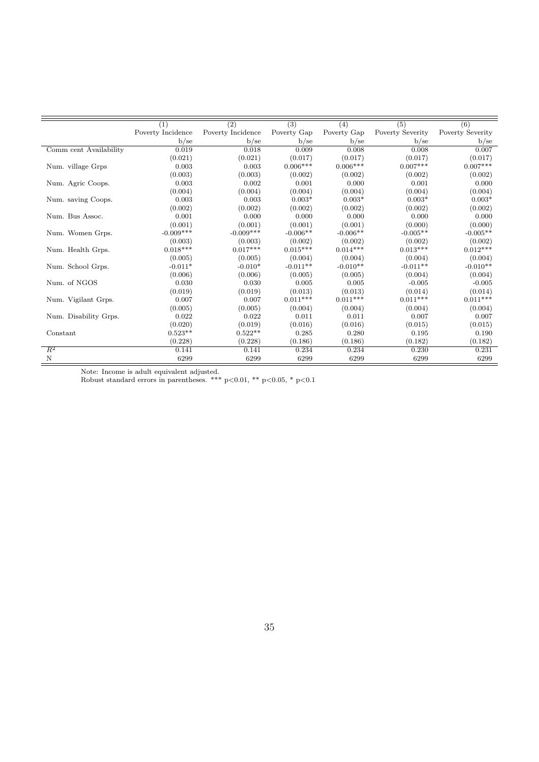|                        | (1)               | $\overline{(2)}$  | $\overline{(3)}$ | (4)         | (5)              | (6)              |
|------------------------|-------------------|-------------------|------------------|-------------|------------------|------------------|
|                        | Poverty Incidence | Poverty Incidence | Poverty Gap      | Poverty Gap | Poverty Severity | Poverty Severity |
|                        | b/sec             | $b$ /se           | b/sec            | b/sec       | $b$ /se          | $b$ /se          |
| Comm cent Availability | 0.019             | 0.018             | 0.009            | 0.008       | 0.008            | 0.007            |
|                        | (0.021)           | (0.021)           | (0.017)          | (0.017)     | (0.017)          | (0.017)          |
| Num. village Grps      | 0.003             | 0.003             | $0.006***$       | $0.006***$  | $0.007***$       | $0.007***$       |
|                        | (0.003)           | (0.003)           | (0.002)          | (0.002)     | (0.002)          | (0.002)          |
| Num. Agric Coops.      | 0.003             | 0.002             | 0.001            | 0.000       | 0.001            | 0.000            |
|                        | (0.004)           | (0.004)           | (0.004)          | (0.004)     | (0.004)          | (0.004)          |
| Num. saving Coops.     | 0.003             | 0.003             | $0.003*$         | $0.003*$    | $0.003*$         | $0.003*$         |
|                        | (0.002)           | (0.002)           | (0.002)          | (0.002)     | (0.002)          | (0.002)          |
| Num. Bus Assoc.        | 0.001             | 0.000             | 0.000            | 0.000       | 0.000            | 0.000            |
|                        | (0.001)           | (0.001)           | (0.001)          | (0.001)     | (0.000)          | (0.000)          |
| Num. Women Grps.       | $-0.009***$       | $-0.009***$       | $-0.006**$       | $-0.006**$  | $-0.005**$       | $-0.005**$       |
|                        | (0.003)           | (0.003)           | (0.002)          | (0.002)     | (0.002)          | (0.002)          |
| Num. Health Grps.      | $0.018***$        | $0.017***$        | $0.015***$       | $0.014***$  | $0.013***$       | $0.012***$       |
|                        | (0.005)           | (0.005)           | (0.004)          | (0.004)     | (0.004)          | (0.004)          |
| Num. School Grps.      | $-0.011*$         | $-0.010*$         | $-0.011**$       | $-0.010**$  | $-0.011**$       | $-0.010**$       |
|                        | (0.006)           | (0.006)           | (0.005)          | (0.005)     | (0.004)          | (0.004)          |
| Num. of NGOS           | 0.030             | 0.030             | 0.005            | 0.005       | $-0.005$         | $-0.005$         |
|                        | (0.019)           | (0.019)           | (0.013)          | (0.013)     | (0.014)          | (0.014)          |
| Num. Vigilant Grps.    | 0.007             | 0.007             | $0.011***$       | $0.011***$  | $0.011***$       | $0.011***$       |
|                        | (0.005)           | (0.005)           | (0.004)          | (0.004)     | (0.004)          | (0.004)          |
| Num. Disability Grps.  | 0.022             | 0.022             | 0.011            | 0.011       | 0.007            | 0.007            |
|                        | (0.020)           | (0.019)           | (0.016)          | (0.016)     | (0.015)          | (0.015)          |
| Constant               | $0.523**$         | $0.522**$         | 0.285            | 0.280       | 0.195            | 0.190            |
|                        | (0.228)           | (0.228)           | (0.186)          | (0.186)     | (0.182)          | (0.182)          |
| $R^2$                  | 0.141             | 0.141             | 0.234            | 0.234       | 0.230            | 0.231            |
| N                      | 6299              | 6299              | 6299             | 6299        | 6299             | 6299             |

Note: Income is adult equivalent adjusted.

Robust standard errors in parentheses. \*\*\* p*<*0.01, \*\* p*<*0.05, \* p*<*0.1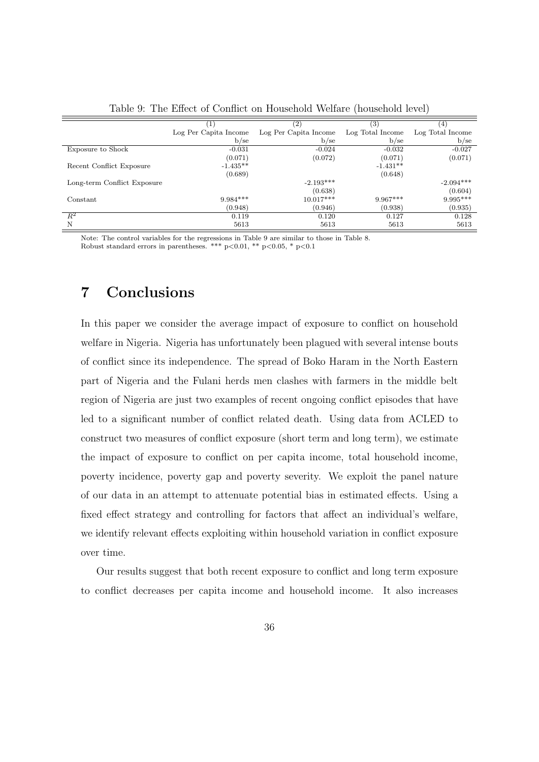|                             |                       | (2)                   | (3)              | 14               |
|-----------------------------|-----------------------|-----------------------|------------------|------------------|
|                             | Log Per Capita Income | Log Per Capita Income | Log Total Income | Log Total Income |
|                             | b/sec                 | b/sec                 | b/sec            | b/sec            |
| Exposure to Shock           | $-0.031$              | $-0.024$              | $-0.032$         | $-0.027$         |
|                             | (0.071)               | (0.072)               | (0.071)          | (0.071)          |
| Recent Conflict Exposure    | $-1.435**$            |                       | $-1.431**$       |                  |
|                             | (0.689)               |                       | (0.648)          |                  |
| Long-term Conflict Exposure |                       | $-2.193***$           |                  | $-2.094***$      |
|                             |                       | (0.638)               |                  | (0.604)          |
| Constant                    | $9.984***$            | $10.017***$           | $9.967***$       | $9.995***$       |
|                             | (0.948)               | (0.946)               | (0.938)          | (0.935)          |
| $\overline{R^2}$            | 0.119                 | 0.120                 | 0.127            | 0.128            |
| N                           | 5613                  | 5613                  | 5613             | 5613             |

Table 9: The Effect of Conflict on Household Welfare (household level)

Note: The control variables for the regressions in Table 9 are similar to those in Table 8. Robust standard errors in parentheses. \*\*\* p*<*0.01, \*\* p*<*0.05, \* p*<*0.1

# 7 Conclusions

In this paper we consider the average impact of exposure to conflict on household welfare in Nigeria. Nigeria has unfortunately been plagued with several intense bouts of conflict since its independence. The spread of Boko Haram in the North Eastern part of Nigeria and the Fulani herds men clashes with farmers in the middle belt region of Nigeria are just two examples of recent ongoing conflict episodes that have led to a significant number of conflict related death. Using data from ACLED to construct two measures of conflict exposure (short term and long term), we estimate the impact of exposure to conflict on per capita income, total household income, poverty incidence, poverty gap and poverty severity. We exploit the panel nature of our data in an attempt to attenuate potential bias in estimated effects. Using a fixed effect strategy and controlling for factors that affect an individual's welfare, we identify relevant effects exploiting within household variation in conflict exposure over time.

Our results suggest that both recent exposure to conflict and long term exposure to conflict decreases per capita income and household income. It also increases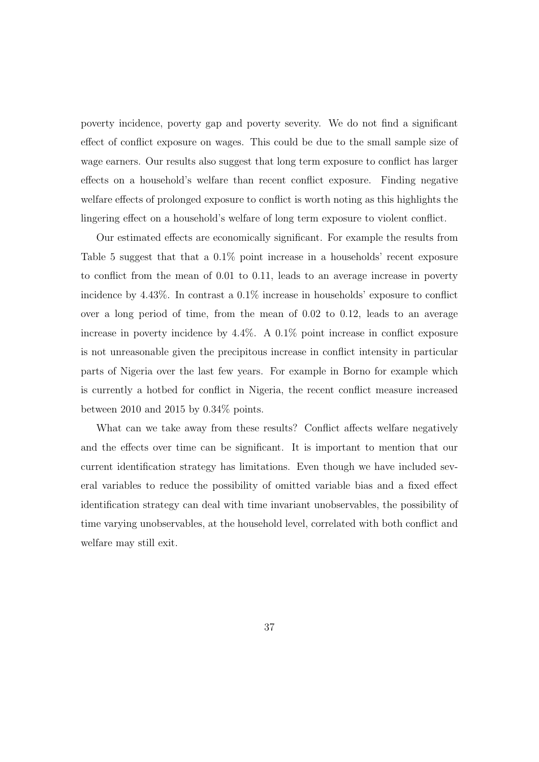poverty incidence, poverty gap and poverty severity. We do not find a significant effect of conflict exposure on wages. This could be due to the small sample size of wage earners. Our results also suggest that long term exposure to conflict has larger effects on a household's welfare than recent conflict exposure. Finding negative welfare effects of prolonged exposure to conflict is worth noting as this highlights the lingering effect on a household's welfare of long term exposure to violent conflict.

Our estimated effects are economically significant. For example the results from Table 5 suggest that that a 0.1% point increase in a households' recent exposure to conflict from the mean of 0.01 to 0.11, leads to an average increase in poverty incidence by 4.43%. In contrast a 0.1% increase in households' exposure to conflict over a long period of time, from the mean of 0.02 to 0.12, leads to an average increase in poverty incidence by 4.4%. A 0.1% point increase in conflict exposure is not unreasonable given the precipitous increase in conflict intensity in particular parts of Nigeria over the last few years. For example in Borno for example which is currently a hotbed for conflict in Nigeria, the recent conflict measure increased between 2010 and 2015 by 0.34% points.

What can we take away from these results? Conflict affects welfare negatively and the effects over time can be significant. It is important to mention that our current identification strategy has limitations. Even though we have included several variables to reduce the possibility of omitted variable bias and a fixed effect identification strategy can deal with time invariant unobservables, the possibility of time varying unobservables, at the household level, correlated with both conflict and welfare may still exit.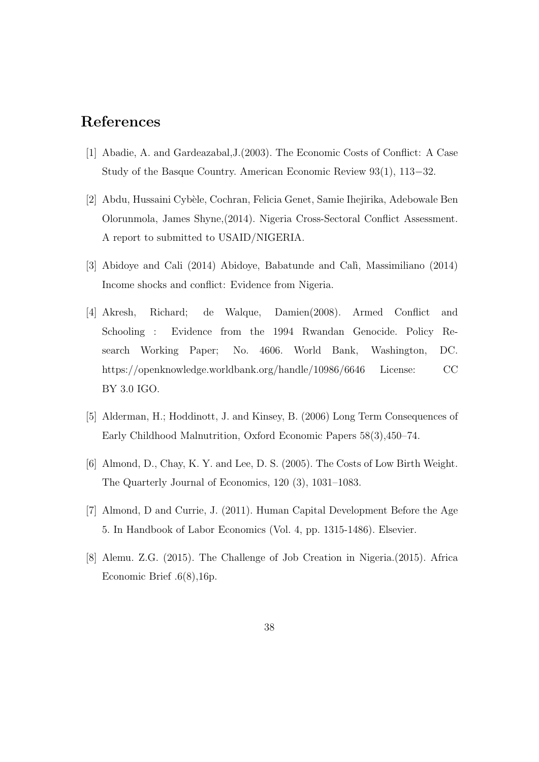# References

- [1] Abadie, A. and Gardeazabal,J.(2003). The Economic Costs of Conflict: A Case Study of the Basque Country. American Economic Review  $93(1)$ ,  $113-32$ .
- [2] Abdu, Hussaini Cyb`ele, Cochran, Felicia Genet, Samie Ihejirika, Adebowale Ben Olorunmola, James Shyne,(2014). Nigeria Cross-Sectoral Conflict Assessment. A report to submitted to USAID/NIGERIA.
- [3] Abidoye and Cali (2014) Abidoye, Babatunde and Calì, Massimiliano (2014) Income shocks and conflict: Evidence from Nigeria.
- [4] Akresh, Richard; de Walque, Damien(2008). Armed Conflict and Schooling : Evidence from the 1994 Rwandan Genocide. Policy Research Working Paper; No. 4606. World Bank, Washington, DC. https://openknowledge.worldbank.org/handle/10986/6646 License: CC BY 3.0 IGO.
- [5] Alderman, H.; Hoddinott, J. and Kinsey, B. (2006) Long Term Consequences of Early Childhood Malnutrition, Oxford Economic Papers 58(3),450–74.
- [6] Almond, D., Chay, K. Y. and Lee, D. S. (2005). The Costs of Low Birth Weight. The Quarterly Journal of Economics, 120 (3), 1031–1083.
- [7] Almond, D and Currie, J. (2011). Human Capital Development Before the Age 5. In Handbook of Labor Economics (Vol. 4, pp. 1315-1486). Elsevier.
- [8] Alemu. Z.G. (2015). The Challenge of Job Creation in Nigeria.(2015). Africa Economic Brief .6(8),16p.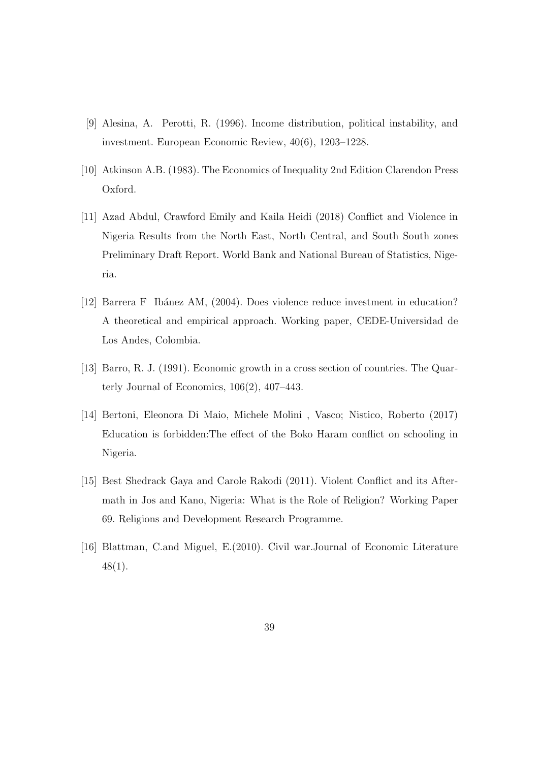- [9] Alesina, A. Perotti, R. (1996). Income distribution, political instability, and investment. European Economic Review, 40(6), 1203–1228.
- [10] Atkinson A.B. (1983). The Economics of Inequality 2nd Edition Clarendon Press Oxford.
- [11] Azad Abdul, Crawford Emily and Kaila Heidi (2018) Conflict and Violence in Nigeria Results from the North East, North Central, and South South zones Preliminary Draft Report. World Bank and National Bureau of Statistics, Nigeria.
- [12] Barrera F Ibánez AM, (2004). Does violence reduce investment in education? A theoretical and empirical approach. Working paper, CEDE-Universidad de Los Andes, Colombia.
- [13] Barro, R. J. (1991). Economic growth in a cross section of countries. The Quarterly Journal of Economics, 106(2), 407–443.
- [14] Bertoni, Eleonora Di Maio, Michele Molini , Vasco; Nistico, Roberto (2017) Education is forbidden: The effect of the Boko Haram conflict on schooling in Nigeria.
- [15] Best Shedrack Gaya and Carole Rakodi (2011). Violent Conflict and its Aftermath in Jos and Kano, Nigeria: What is the Role of Religion? Working Paper 69. Religions and Development Research Programme.
- [16] Blattman, C.and Miguel, E.(2010). Civil war.Journal of Economic Literature 48(1).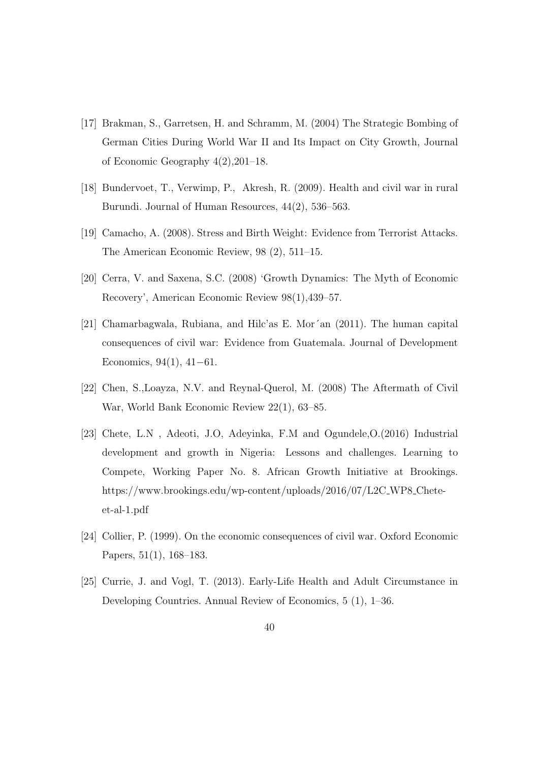- [17] Brakman, S., Garretsen, H. and Schramm, M. (2004) The Strategic Bombing of German Cities During World War II and Its Impact on City Growth, Journal of Economic Geography 4(2),201–18.
- [18] Bundervoet, T., Verwimp, P., Akresh, R. (2009). Health and civil war in rural Burundi. Journal of Human Resources, 44(2), 536–563.
- [19] Camacho, A. (2008). Stress and Birth Weight: Evidence from Terrorist Attacks. The American Economic Review, 98 (2), 511–15.
- [20] Cerra, V. and Saxena, S.C. (2008) 'Growth Dynamics: The Myth of Economic Recovery', American Economic Review 98(1),439–57.
- [21] Chamarbagwala, Rubiana, and Hilc'as E. Mor´an (2011). The human capital consequences of civil war: Evidence from Guatemala. Journal of Development Economics,  $94(1)$ ,  $41-61$ .
- [22] Chen, S.,Loayza, N.V. and Reynal-Querol, M. (2008) The Aftermath of Civil War, World Bank Economic Review 22(1), 63–85.
- [23] Chete, L.N , Adeoti, J.O, Adeyinka, F.M and Ogundele,O.(2016) Industrial development and growth in Nigeria: Lessons and challenges. Learning to Compete, Working Paper No. 8. African Growth Initiative at Brookings. https://www.brookings.edu/wp-content/uploads/2016/07/L2C WP8 Cheteet-al-1.pdf
- [24] Collier, P. (1999). On the economic consequences of civil war. Oxford Economic Papers, 51(1), 168–183.
- [25] Currie, J. and Vogl, T. (2013). Early-Life Health and Adult Circumstance in Developing Countries. Annual Review of Economics, 5 (1), 1–36.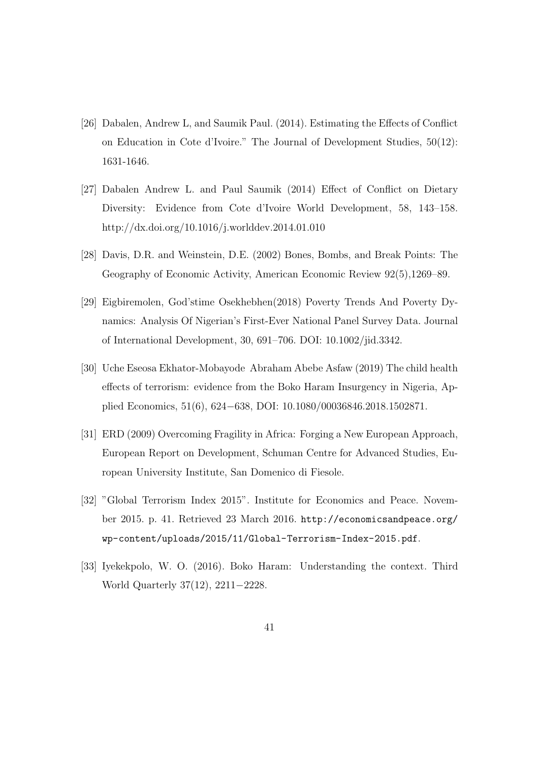- [26] Dabalen, Andrew L, and Saumik Paul. (2014). Estimating the Effects of Conflict on Education in Cote d'Ivoire." The Journal of Development Studies, 50(12): 1631-1646.
- [27] Dabalen Andrew L. and Paul Saumik (2014) Effect of Conflict on Dietary Diversity: Evidence from Cote d'Ivoire World Development, 58, 143–158. http://dx.doi.org/10.1016/j.worlddev.2014.01.010
- [28] Davis, D.R. and Weinstein, D.E. (2002) Bones, Bombs, and Break Points: The Geography of Economic Activity, American Economic Review 92(5),1269–89.
- [29] Eigbiremolen, God'stime Osekhebhen(2018) Poverty Trends And Poverty Dynamics: Analysis Of Nigerian's First-Ever National Panel Survey Data. Journal of International Development, 30, 691–706. DOI: 10.1002/jid.3342.
- [30] Uche Eseosa Ekhator-Mobayode Abraham Abebe Asfaw (2019) The child health effects of terrorism: evidence from the Boko Haram Insurgency in Nigeria, Applied Economics, 51(6), 624–638, DOI: 10.1080/00036846.2018.1502871.
- [31] ERD (2009) Overcoming Fragility in Africa: Forging a New European Approach, European Report on Development, Schuman Centre for Advanced Studies, European University Institute, San Domenico di Fiesole.
- [32] "Global Terrorism Index 2015". Institute for Economics and Peace. November 2015. p. 41. Retrieved 23 March 2016. http://economicsandpeace.org/ wp-content/uploads/2015/11/Global-Terrorism-Index-2015.pdf.
- [33] Iyekekpolo, W. O. (2016). Boko Haram: Understanding the context. Third World Quarterly  $37(12)$ ,  $2211-2228$ .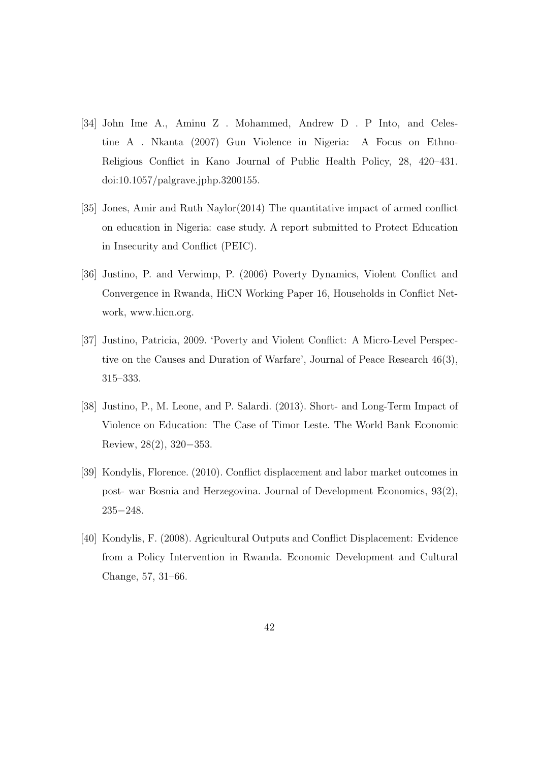- [34] John Ime A., Aminu Z . Mohammed, Andrew D . P Into, and Celestine A . Nkanta (2007) Gun Violence in Nigeria: A Focus on Ethno-Religious Conflict in Kano Journal of Public Health Policy, 28, 420–431. doi:10.1057/palgrave.jphp.3200155.
- [35] Jones, Amir and Ruth Naylor(2014) The quantitative impact of armed conflict on education in Nigeria: case study. A report submitted to Protect Education in Insecurity and Conflict (PEIC).
- [36] Justino, P. and Verwimp, P. (2006) Poverty Dynamics, Violent Conflict and Convergence in Rwanda, HiCN Working Paper 16, Households in Conflict Network, www.hicn.org.
- [37] Justino, Patricia, 2009. 'Poverty and Violent Conflict: A Micro-Level Perspective on the Causes and Duration of Warfare', Journal of Peace Research 46(3), 315–333.
- [38] Justino, P., M. Leone, and P. Salardi. (2013). Short- and Long-Term Impact of Violence on Education: The Case of Timor Leste. The World Bank Economic Review,  $28(2)$ ,  $320-353$ .
- [39] Kondylis, Florence. (2010). Conflict displacement and labor market outcomes in post- war Bosnia and Herzegovina. Journal of Development Economics, 93(2),  $235 - 248.$
- [40] Kondylis, F. (2008). Agricultural Outputs and Conflict Displacement: Evidence from a Policy Intervention in Rwanda. Economic Development and Cultural Change, 57, 31–66.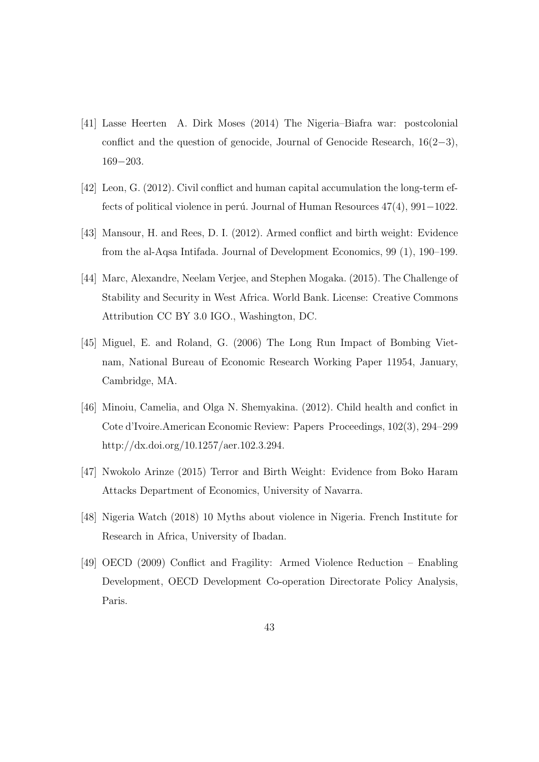- [41] Lasse Heerten A. Dirk Moses (2014) The Nigeria–Biafra war: postcolonial conflict and the question of genocide, Journal of Genocide Research,  $16(2-3)$ ,  $169 - 203$ .
- [42] Leon, G. (2012). Civil conflict and human capital accumulation the long-term effects of political violence in perú. Journal of Human Resources  $47(4)$ ,  $991-1022$ .
- [43] Mansour, H. and Rees, D. I. (2012). Armed conflict and birth weight: Evidence from the al-Aqsa Intifada. Journal of Development Economics, 99 (1), 190–199.
- [44] Marc, Alexandre, Neelam Verjee, and Stephen Mogaka. (2015). The Challenge of Stability and Security in West Africa. World Bank. License: Creative Commons Attribution CC BY 3.0 IGO., Washington, DC.
- [45] Miguel, E. and Roland, G. (2006) The Long Run Impact of Bombing Vietnam, National Bureau of Economic Research Working Paper 11954, January, Cambridge, MA.
- [46] Minoiu, Camelia, and Olga N. Shemyakina. (2012). Child health and confict in Cote d'Ivoire.American Economic Review: Papers Proceedings, 102(3), 294–299 http://dx.doi.org/10.1257/aer.102.3.294.
- [47] Nwokolo Arinze (2015) Terror and Birth Weight: Evidence from Boko Haram Attacks Department of Economics, University of Navarra.
- [48] Nigeria Watch (2018) 10 Myths about violence in Nigeria. French Institute for Research in Africa, University of Ibadan.
- [49] OECD (2009) Conflict and Fragility: Armed Violence Reduction Enabling Development, OECD Development Co-operation Directorate Policy Analysis, Paris.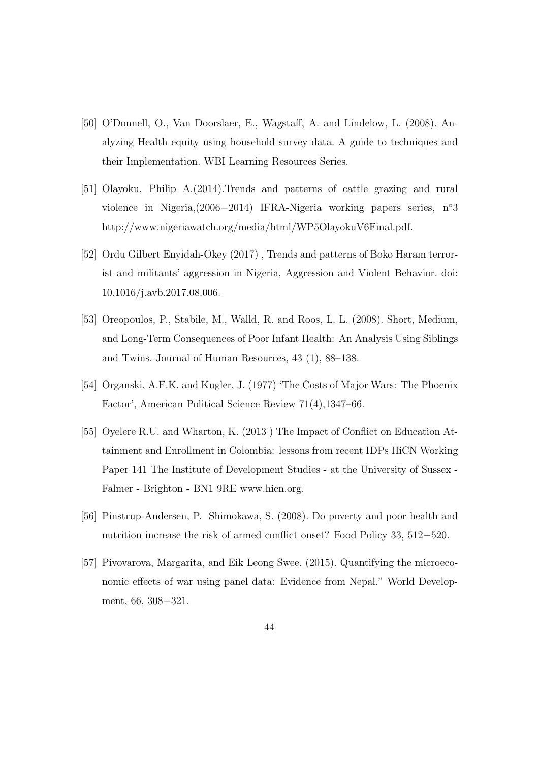- [50] O'Donnell, O., Van Doorslaer, E., Wagstaff, A. and Lindelow, L. (2008). Analyzing Health equity using household survey data. A guide to techniques and their Implementation. WBI Learning Resources Series.
- [51] Olayoku, Philip A.(2014).Trends and patterns of cattle grazing and rural violence in Nigeria, $(2006-2014)$  IFRA-Nigeria working papers series, n°3 http://www.nigeriawatch.org/media/html/WP5OlayokuV6Final.pdf.
- [52] Ordu Gilbert Enyidah-Okey (2017) , Trends and patterns of Boko Haram terrorist and militants' aggression in Nigeria, Aggression and Violent Behavior. doi: 10.1016/j.avb.2017.08.006.
- [53] Oreopoulos, P., Stabile, M., Walld, R. and Roos, L. L. (2008). Short, Medium, and Long-Term Consequences of Poor Infant Health: An Analysis Using Siblings and Twins. Journal of Human Resources, 43 (1), 88–138.
- [54] Organski, A.F.K. and Kugler, J. (1977) 'The Costs of Major Wars: The Phoenix Factor', American Political Science Review 71(4),1347–66.
- [55] Oyelere R.U. and Wharton, K. (2013 ) The Impact of Conflict on Education Attainment and Enrollment in Colombia: lessons from recent IDPs HiCN Working Paper 141 The Institute of Development Studies - at the University of Sussex - Falmer - Brighton - BN1 9RE www.hicn.org.
- [56] Pinstrup-Andersen, P. Shimokawa, S. (2008). Do poverty and poor health and nutrition increase the risk of armed conflict onset? Food Policy  $33, 512-520$ .
- [57] Pivovarova, Margarita, and Eik Leong Swee. (2015). Quantifying the microeconomic effects of war using panel data: Evidence from Nepal." World Development, 66, 308-321.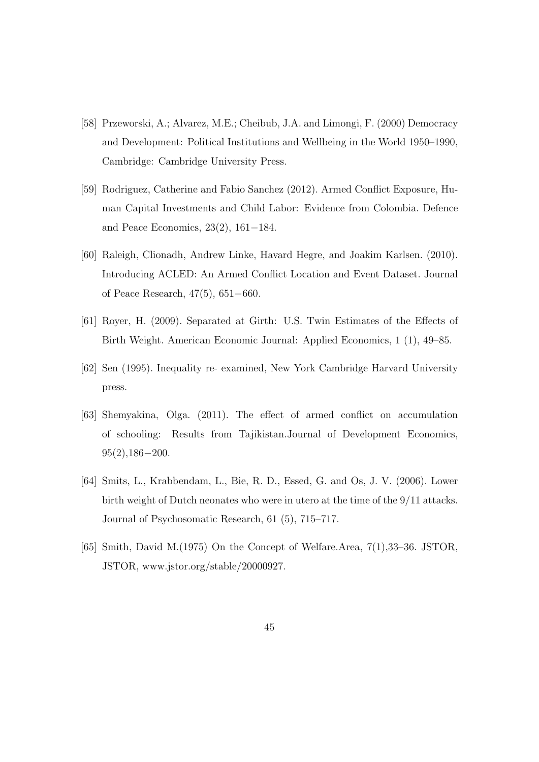- [58] Przeworski, A.; Alvarez, M.E.; Cheibub, J.A. and Limongi, F. (2000) Democracy and Development: Political Institutions and Wellbeing in the World 1950–1990, Cambridge: Cambridge University Press.
- [59] Rodriguez, Catherine and Fabio Sanchez (2012). Armed Conflict Exposure, Human Capital Investments and Child Labor: Evidence from Colombia. Defence and Peace Economics,  $23(2)$ ,  $161-184$ .
- [60] Raleigh, Clionadh, Andrew Linke, Havard Hegre, and Joakim Karlsen. (2010). Introducing ACLED: An Armed Conflict Location and Event Dataset. Journal of Peace Research,  $47(5)$ ,  $651-660$ .
- [61] Royer, H. (2009). Separated at Girth: U.S. Twin Estimates of the Effects of Birth Weight. American Economic Journal: Applied Economics, 1 (1), 49–85.
- [62] Sen (1995). Inequality re- examined, New York Cambridge Harvard University press.
- [63] Shemyakina, Olga. (2011). The effect of armed conflict on accumulation of schooling: Results from Tajikistan.Journal of Development Economics,  $95(2)$ ,186-200.
- [64] Smits, L., Krabbendam, L., Bie, R. D., Essed, G. and Os, J. V. (2006). Lower birth weight of Dutch neonates who were in utero at the time of the 9/11 attacks. Journal of Psychosomatic Research, 61 (5), 715–717.
- [65] Smith, David M.(1975) On the Concept of Welfare.Area, 7(1),33–36. JSTOR, JSTOR, www.jstor.org/stable/20000927.